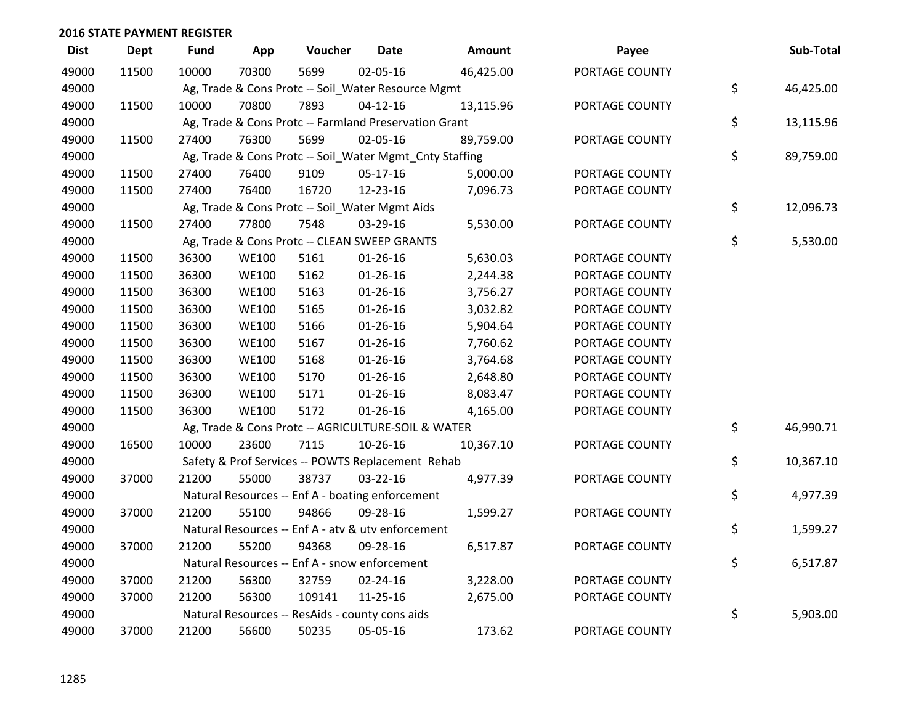| <b>Dist</b> | <b>Dept</b> | <b>Fund</b> | App          | Voucher                                                 | <b>Date</b>    | <b>Amount</b> | Payee          | Sub-Total       |
|-------------|-------------|-------------|--------------|---------------------------------------------------------|----------------|---------------|----------------|-----------------|
| 49000       | 11500       | 10000       | 70300        | 5699                                                    | 02-05-16       | 46,425.00     | PORTAGE COUNTY |                 |
| 49000       |             |             |              | Ag, Trade & Cons Protc -- Soil_Water Resource Mgmt      |                |               |                | \$<br>46,425.00 |
| 49000       | 11500       | 10000       | 70800        | 7893                                                    | $04 - 12 - 16$ | 13,115.96     | PORTAGE COUNTY |                 |
| 49000       |             |             |              | Ag, Trade & Cons Protc -- Farmland Preservation Grant   |                |               |                | \$<br>13,115.96 |
| 49000       | 11500       | 27400       | 76300        | 5699                                                    | 02-05-16       | 89,759.00     | PORTAGE COUNTY |                 |
| 49000       |             |             |              | Ag, Trade & Cons Protc -- Soil_Water Mgmt_Cnty Staffing |                |               |                | \$<br>89,759.00 |
| 49000       | 11500       | 27400       | 76400        | 9109                                                    | 05-17-16       | 5,000.00      | PORTAGE COUNTY |                 |
| 49000       | 11500       | 27400       | 76400        | 16720                                                   | 12-23-16       | 7,096.73      | PORTAGE COUNTY |                 |
| 49000       |             |             |              | Ag, Trade & Cons Protc -- Soil_Water Mgmt Aids          |                |               |                | \$<br>12,096.73 |
| 49000       | 11500       | 27400       | 77800        | 7548                                                    | 03-29-16       | 5,530.00      | PORTAGE COUNTY |                 |
| 49000       |             |             |              | Ag, Trade & Cons Protc -- CLEAN SWEEP GRANTS            |                |               |                | \$<br>5,530.00  |
| 49000       | 11500       | 36300       | <b>WE100</b> | 5161                                                    | $01 - 26 - 16$ | 5,630.03      | PORTAGE COUNTY |                 |
| 49000       | 11500       | 36300       | <b>WE100</b> | 5162                                                    | $01 - 26 - 16$ | 2,244.38      | PORTAGE COUNTY |                 |
| 49000       | 11500       | 36300       | <b>WE100</b> | 5163                                                    | $01 - 26 - 16$ | 3,756.27      | PORTAGE COUNTY |                 |
| 49000       | 11500       | 36300       | <b>WE100</b> | 5165                                                    | $01 - 26 - 16$ | 3,032.82      | PORTAGE COUNTY |                 |
| 49000       | 11500       | 36300       | <b>WE100</b> | 5166                                                    | $01 - 26 - 16$ | 5,904.64      | PORTAGE COUNTY |                 |
| 49000       | 11500       | 36300       | <b>WE100</b> | 5167                                                    | $01 - 26 - 16$ | 7,760.62      | PORTAGE COUNTY |                 |
| 49000       | 11500       | 36300       | <b>WE100</b> | 5168                                                    | $01 - 26 - 16$ | 3,764.68      | PORTAGE COUNTY |                 |
| 49000       | 11500       | 36300       | <b>WE100</b> | 5170                                                    | $01 - 26 - 16$ | 2,648.80      | PORTAGE COUNTY |                 |
| 49000       | 11500       | 36300       | <b>WE100</b> | 5171                                                    | $01 - 26 - 16$ | 8,083.47      | PORTAGE COUNTY |                 |
| 49000       | 11500       | 36300       | <b>WE100</b> | 5172                                                    | $01 - 26 - 16$ | 4,165.00      | PORTAGE COUNTY |                 |
| 49000       |             |             |              | Ag, Trade & Cons Protc -- AGRICULTURE-SOIL & WATER      |                |               |                | \$<br>46,990.71 |
| 49000       | 16500       | 10000       | 23600        | 7115                                                    | 10-26-16       | 10,367.10     | PORTAGE COUNTY |                 |
| 49000       |             |             |              | Safety & Prof Services -- POWTS Replacement Rehab       |                |               |                | \$<br>10,367.10 |
| 49000       | 37000       | 21200       | 55000        | 38737                                                   | $03 - 22 - 16$ | 4,977.39      | PORTAGE COUNTY |                 |
| 49000       |             |             |              | Natural Resources -- Enf A - boating enforcement        |                |               |                | \$<br>4,977.39  |
| 49000       | 37000       | 21200       | 55100        | 94866                                                   | 09-28-16       | 1,599.27      | PORTAGE COUNTY |                 |
| 49000       |             |             |              | Natural Resources -- Enf A - atv & utv enforcement      |                |               |                | \$<br>1,599.27  |
| 49000       | 37000       | 21200       | 55200        | 94368                                                   | 09-28-16       | 6,517.87      | PORTAGE COUNTY |                 |
| 49000       |             |             |              | Natural Resources -- Enf A - snow enforcement           |                |               |                | \$<br>6,517.87  |
| 49000       | 37000       | 21200       | 56300        | 32759                                                   | 02-24-16       | 3,228.00      | PORTAGE COUNTY |                 |
| 49000       | 37000       | 21200       | 56300        | 109141                                                  | 11-25-16       | 2,675.00      | PORTAGE COUNTY |                 |
| 49000       |             |             |              | Natural Resources -- ResAids - county cons aids         |                |               |                | \$<br>5,903.00  |
| 49000       | 37000       | 21200       | 56600        | 50235                                                   | 05-05-16       | 173.62        | PORTAGE COUNTY |                 |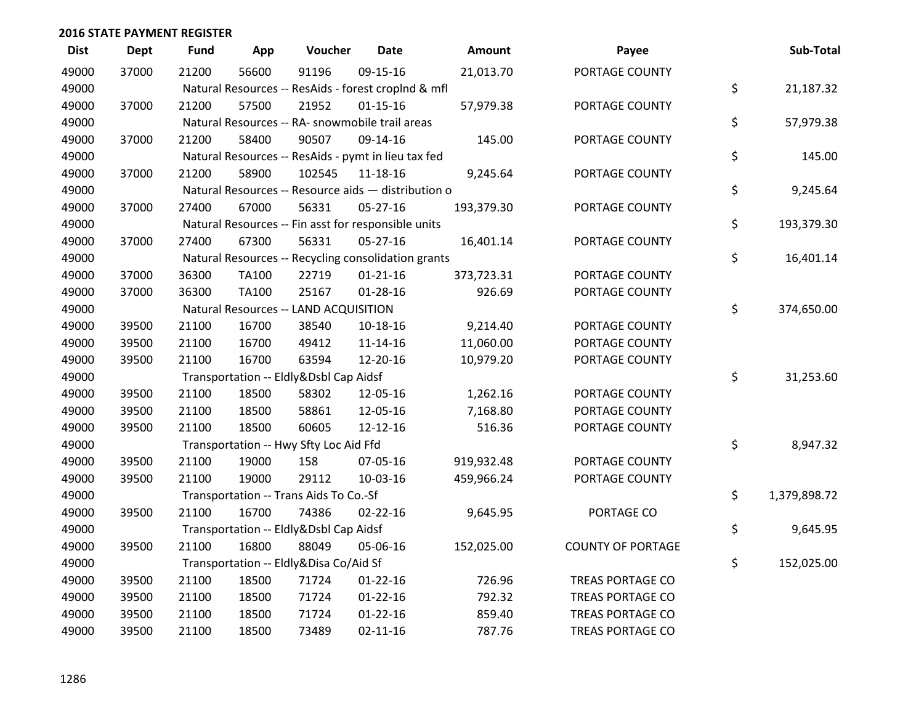| <b>Dist</b> | <b>Dept</b> | <b>Fund</b> | App          | Voucher                                             | <b>Date</b>    | Amount     | Payee                    | Sub-Total          |
|-------------|-------------|-------------|--------------|-----------------------------------------------------|----------------|------------|--------------------------|--------------------|
| 49000       | 37000       | 21200       | 56600        | 91196                                               | 09-15-16       | 21,013.70  | PORTAGE COUNTY           |                    |
| 49000       |             |             |              | Natural Resources -- ResAids - forest croplnd & mfl |                |            |                          | \$<br>21,187.32    |
| 49000       | 37000       | 21200       | 57500        | 21952                                               | $01 - 15 - 16$ | 57,979.38  | PORTAGE COUNTY           |                    |
| 49000       |             |             |              | Natural Resources -- RA- snowmobile trail areas     |                |            |                          | \$<br>57,979.38    |
| 49000       | 37000       | 21200       | 58400        | 90507                                               | 09-14-16       | 145.00     | PORTAGE COUNTY           |                    |
| 49000       |             |             |              | Natural Resources -- ResAids - pymt in lieu tax fed |                |            |                          | \$<br>145.00       |
| 49000       | 37000       | 21200       | 58900        | 102545                                              | 11-18-16       | 9,245.64   | PORTAGE COUNTY           |                    |
| 49000       |             |             |              | Natural Resources -- Resource aids - distribution o |                |            |                          | \$<br>9,245.64     |
| 49000       | 37000       | 27400       | 67000        | 56331                                               | 05-27-16       | 193,379.30 | PORTAGE COUNTY           |                    |
| 49000       |             |             |              | Natural Resources -- Fin asst for responsible units |                |            |                          | \$<br>193,379.30   |
| 49000       | 37000       | 27400       | 67300        | 56331                                               | 05-27-16       | 16,401.14  | PORTAGE COUNTY           |                    |
| 49000       |             |             |              | Natural Resources -- Recycling consolidation grants |                |            |                          | \$<br>16,401.14    |
| 49000       | 37000       | 36300       | <b>TA100</b> | 22719                                               | $01 - 21 - 16$ | 373,723.31 | PORTAGE COUNTY           |                    |
| 49000       | 37000       | 36300       | <b>TA100</b> | 25167                                               | $01 - 28 - 16$ | 926.69     | PORTAGE COUNTY           |                    |
| 49000       |             |             |              | Natural Resources -- LAND ACQUISITION               |                |            |                          | \$<br>374,650.00   |
| 49000       | 39500       | 21100       | 16700        | 38540                                               | 10-18-16       | 9,214.40   | PORTAGE COUNTY           |                    |
| 49000       | 39500       | 21100       | 16700        | 49412                                               | 11-14-16       | 11,060.00  | PORTAGE COUNTY           |                    |
| 49000       | 39500       | 21100       | 16700        | 63594                                               | 12-20-16       | 10,979.20  | PORTAGE COUNTY           |                    |
| 49000       |             |             |              | Transportation -- Eldly&Dsbl Cap Aidsf              |                |            |                          | \$<br>31,253.60    |
| 49000       | 39500       | 21100       | 18500        | 58302                                               | 12-05-16       | 1,262.16   | PORTAGE COUNTY           |                    |
| 49000       | 39500       | 21100       | 18500        | 58861                                               | 12-05-16       | 7,168.80   | PORTAGE COUNTY           |                    |
| 49000       | 39500       | 21100       | 18500        | 60605                                               | 12-12-16       | 516.36     | PORTAGE COUNTY           |                    |
| 49000       |             |             |              | Transportation -- Hwy Sfty Loc Aid Ffd              |                |            |                          | \$<br>8,947.32     |
| 49000       | 39500       | 21100       | 19000        | 158                                                 | 07-05-16       | 919,932.48 | PORTAGE COUNTY           |                    |
| 49000       | 39500       | 21100       | 19000        | 29112                                               | 10-03-16       | 459,966.24 | PORTAGE COUNTY           |                    |
| 49000       |             |             |              | Transportation -- Trans Aids To Co.-Sf              |                |            |                          | \$<br>1,379,898.72 |
| 49000       | 39500       | 21100       | 16700        | 74386                                               | $02 - 22 - 16$ | 9,645.95   | PORTAGE CO               |                    |
| 49000       |             |             |              | Transportation -- Eldly&Dsbl Cap Aidsf              |                |            |                          | \$<br>9,645.95     |
| 49000       | 39500       | 21100       | 16800        | 88049                                               | 05-06-16       | 152,025.00 | <b>COUNTY OF PORTAGE</b> |                    |
| 49000       |             |             |              | Transportation -- Eldly&Disa Co/Aid Sf              |                |            |                          | \$<br>152,025.00   |
| 49000       | 39500       | 21100       | 18500        | 71724                                               | $01 - 22 - 16$ | 726.96     | <b>TREAS PORTAGE CO</b>  |                    |
| 49000       | 39500       | 21100       | 18500        | 71724                                               | $01 - 22 - 16$ | 792.32     | <b>TREAS PORTAGE CO</b>  |                    |
| 49000       | 39500       | 21100       | 18500        | 71724                                               | $01 - 22 - 16$ | 859.40     | <b>TREAS PORTAGE CO</b>  |                    |
| 49000       | 39500       | 21100       | 18500        | 73489                                               | $02 - 11 - 16$ | 787.76     | <b>TREAS PORTAGE CO</b>  |                    |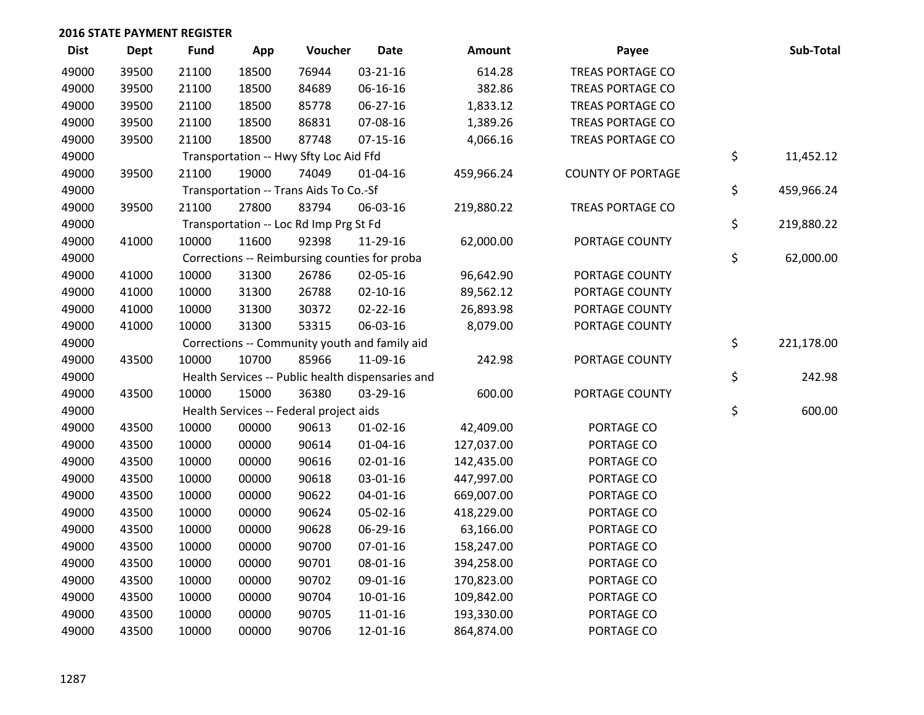| <b>Dist</b> | Dept  | Fund  | App   | Voucher                                           | <b>Date</b>    | Amount     | Payee                    | Sub-Total        |
|-------------|-------|-------|-------|---------------------------------------------------|----------------|------------|--------------------------|------------------|
| 49000       | 39500 | 21100 | 18500 | 76944                                             | 03-21-16       | 614.28     | <b>TREAS PORTAGE CO</b>  |                  |
| 49000       | 39500 | 21100 | 18500 | 84689                                             | 06-16-16       | 382.86     | <b>TREAS PORTAGE CO</b>  |                  |
| 49000       | 39500 | 21100 | 18500 | 85778                                             | 06-27-16       | 1,833.12   | <b>TREAS PORTAGE CO</b>  |                  |
| 49000       | 39500 | 21100 | 18500 | 86831                                             | 07-08-16       | 1,389.26   | <b>TREAS PORTAGE CO</b>  |                  |
| 49000       | 39500 | 21100 | 18500 | 87748                                             | $07-15-16$     | 4,066.16   | TREAS PORTAGE CO         |                  |
| 49000       |       |       |       | Transportation -- Hwy Sfty Loc Aid Ffd            |                |            |                          | \$<br>11,452.12  |
| 49000       | 39500 | 21100 | 19000 | 74049                                             | $01 - 04 - 16$ | 459,966.24 | <b>COUNTY OF PORTAGE</b> |                  |
| 49000       |       |       |       | Transportation -- Trans Aids To Co.-Sf            |                |            |                          | \$<br>459,966.24 |
| 49000       | 39500 | 21100 | 27800 | 83794                                             | 06-03-16       | 219,880.22 | TREAS PORTAGE CO         |                  |
| 49000       |       |       |       | Transportation -- Loc Rd Imp Prg St Fd            |                |            |                          | \$<br>219,880.22 |
| 49000       | 41000 | 10000 | 11600 | 92398                                             | 11-29-16       | 62,000.00  | PORTAGE COUNTY           |                  |
| 49000       |       |       |       | Corrections -- Reimbursing counties for proba     |                |            |                          | \$<br>62,000.00  |
| 49000       | 41000 | 10000 | 31300 | 26786                                             | 02-05-16       | 96,642.90  | PORTAGE COUNTY           |                  |
| 49000       | 41000 | 10000 | 31300 | 26788                                             | $02 - 10 - 16$ | 89,562.12  | PORTAGE COUNTY           |                  |
| 49000       | 41000 | 10000 | 31300 | 30372                                             | 02-22-16       | 26,893.98  | PORTAGE COUNTY           |                  |
| 49000       | 41000 | 10000 | 31300 | 53315                                             | 06-03-16       | 8,079.00   | PORTAGE COUNTY           |                  |
| 49000       |       |       |       | Corrections -- Community youth and family aid     |                |            |                          | \$<br>221,178.00 |
| 49000       | 43500 | 10000 | 10700 | 85966                                             | 11-09-16       | 242.98     | PORTAGE COUNTY           |                  |
| 49000       |       |       |       | Health Services -- Public health dispensaries and |                |            |                          | \$<br>242.98     |
| 49000       | 43500 | 10000 | 15000 | 36380                                             | 03-29-16       | 600.00     | PORTAGE COUNTY           |                  |
| 49000       |       |       |       | Health Services -- Federal project aids           |                |            |                          | \$<br>600.00     |
| 49000       | 43500 | 10000 | 00000 | 90613                                             | $01 - 02 - 16$ | 42,409.00  | PORTAGE CO               |                  |
| 49000       | 43500 | 10000 | 00000 | 90614                                             | $01 - 04 - 16$ | 127,037.00 | PORTAGE CO               |                  |
| 49000       | 43500 | 10000 | 00000 | 90616                                             | $02 - 01 - 16$ | 142,435.00 | PORTAGE CO               |                  |
| 49000       | 43500 | 10000 | 00000 | 90618                                             | 03-01-16       | 447,997.00 | PORTAGE CO               |                  |
| 49000       | 43500 | 10000 | 00000 | 90622                                             | 04-01-16       | 669,007.00 | PORTAGE CO               |                  |
| 49000       | 43500 | 10000 | 00000 | 90624                                             | 05-02-16       | 418,229.00 | PORTAGE CO               |                  |
| 49000       | 43500 | 10000 | 00000 | 90628                                             | 06-29-16       | 63,166.00  | PORTAGE CO               |                  |
| 49000       | 43500 | 10000 | 00000 | 90700                                             | 07-01-16       | 158,247.00 | PORTAGE CO               |                  |
| 49000       | 43500 | 10000 | 00000 | 90701                                             | 08-01-16       | 394,258.00 | PORTAGE CO               |                  |
| 49000       | 43500 | 10000 | 00000 | 90702                                             | 09-01-16       | 170,823.00 | PORTAGE CO               |                  |
| 49000       | 43500 | 10000 | 00000 | 90704                                             | 10-01-16       | 109,842.00 | PORTAGE CO               |                  |
| 49000       | 43500 | 10000 | 00000 | 90705                                             | 11-01-16       | 193,330.00 | PORTAGE CO               |                  |
| 49000       | 43500 | 10000 | 00000 | 90706                                             | 12-01-16       | 864,874.00 | PORTAGE CO               |                  |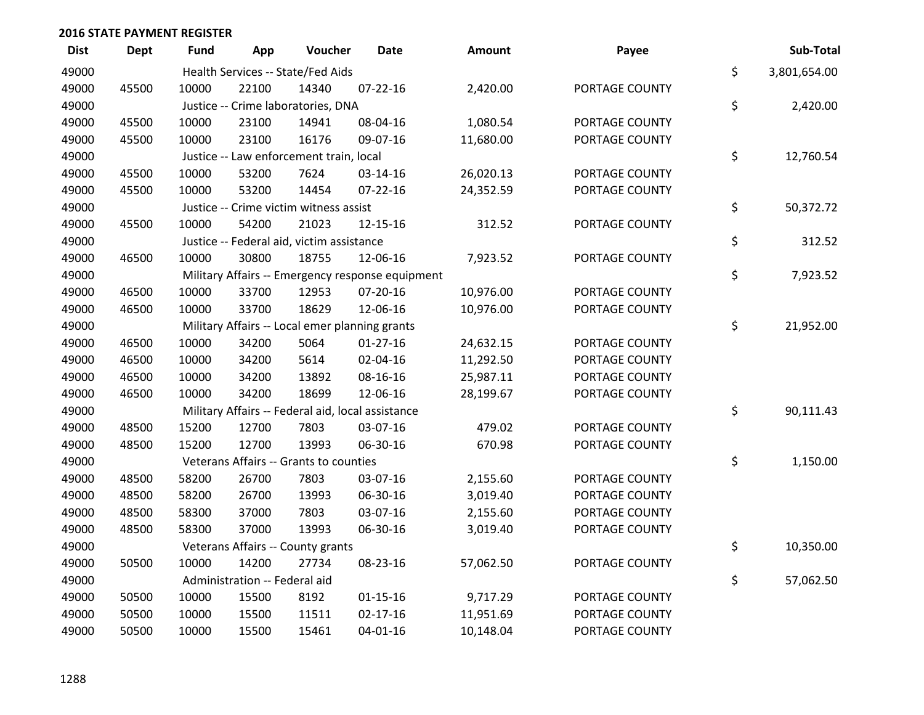| <b>Dist</b> | <b>Dept</b> | <b>Fund</b> | App                           | Voucher                                           | <b>Date</b>                                      | Amount    | Payee          | Sub-Total          |
|-------------|-------------|-------------|-------------------------------|---------------------------------------------------|--------------------------------------------------|-----------|----------------|--------------------|
| 49000       |             |             |                               | Health Services -- State/Fed Aids                 |                                                  |           |                | \$<br>3,801,654.00 |
| 49000       | 45500       | 10000       | 22100                         | 14340                                             | $07 - 22 - 16$                                   | 2,420.00  | PORTAGE COUNTY |                    |
| 49000       |             |             |                               | Justice -- Crime laboratories, DNA                |                                                  |           |                | \$<br>2,420.00     |
| 49000       | 45500       | 10000       | 23100                         | 14941                                             | 08-04-16                                         | 1,080.54  | PORTAGE COUNTY |                    |
| 49000       | 45500       | 10000       | 23100                         | 16176                                             | 09-07-16                                         | 11,680.00 | PORTAGE COUNTY |                    |
| 49000       |             |             |                               | Justice -- Law enforcement train, local           |                                                  |           |                | \$<br>12,760.54    |
| 49000       | 45500       | 10000       | 53200                         | 7624                                              | 03-14-16                                         | 26,020.13 | PORTAGE COUNTY |                    |
| 49000       | 45500       | 10000       | 53200                         | 14454                                             | $07 - 22 - 16$                                   | 24,352.59 | PORTAGE COUNTY |                    |
| 49000       |             |             |                               | Justice -- Crime victim witness assist            |                                                  |           |                | \$<br>50,372.72    |
| 49000       | 45500       | 10000       | 54200                         | 21023                                             | 12-15-16                                         | 312.52    | PORTAGE COUNTY |                    |
| 49000       |             |             |                               | Justice -- Federal aid, victim assistance         |                                                  |           |                | \$<br>312.52       |
| 49000       | 46500       | 10000       | 30800                         | 18755                                             | 12-06-16                                         | 7,923.52  | PORTAGE COUNTY |                    |
| 49000       |             |             |                               |                                                   | Military Affairs -- Emergency response equipment |           |                | \$<br>7,923.52     |
| 49000       | 46500       | 10000       | 33700                         | 12953                                             | 07-20-16                                         | 10,976.00 | PORTAGE COUNTY |                    |
| 49000       | 46500       | 10000       | 33700                         | 18629                                             | 12-06-16                                         | 10,976.00 | PORTAGE COUNTY |                    |
| 49000       |             |             |                               | Military Affairs -- Local emer planning grants    |                                                  |           |                | \$<br>21,952.00    |
| 49000       | 46500       | 10000       | 34200                         | 5064                                              | $01-27-16$                                       | 24,632.15 | PORTAGE COUNTY |                    |
| 49000       | 46500       | 10000       | 34200                         | 5614                                              | 02-04-16                                         | 11,292.50 | PORTAGE COUNTY |                    |
| 49000       | 46500       | 10000       | 34200                         | 13892                                             | 08-16-16                                         | 25,987.11 | PORTAGE COUNTY |                    |
| 49000       | 46500       | 10000       | 34200                         | 18699                                             | 12-06-16                                         | 28,199.67 | PORTAGE COUNTY |                    |
| 49000       |             |             |                               | Military Affairs -- Federal aid, local assistance |                                                  |           |                | \$<br>90,111.43    |
| 49000       | 48500       | 15200       | 12700                         | 7803                                              | 03-07-16                                         | 479.02    | PORTAGE COUNTY |                    |
| 49000       | 48500       | 15200       | 12700                         | 13993                                             | 06-30-16                                         | 670.98    | PORTAGE COUNTY |                    |
| 49000       |             |             |                               | Veterans Affairs -- Grants to counties            |                                                  |           |                | \$<br>1,150.00     |
| 49000       | 48500       | 58200       | 26700                         | 7803                                              | 03-07-16                                         | 2,155.60  | PORTAGE COUNTY |                    |
| 49000       | 48500       | 58200       | 26700                         | 13993                                             | 06-30-16                                         | 3,019.40  | PORTAGE COUNTY |                    |
| 49000       | 48500       | 58300       | 37000                         | 7803                                              | 03-07-16                                         | 2,155.60  | PORTAGE COUNTY |                    |
| 49000       | 48500       | 58300       | 37000                         | 13993                                             | 06-30-16                                         | 3,019.40  | PORTAGE COUNTY |                    |
| 49000       |             |             |                               | Veterans Affairs -- County grants                 |                                                  |           |                | \$<br>10,350.00    |
| 49000       | 50500       | 10000       | 14200                         | 27734                                             | 08-23-16                                         | 57,062.50 | PORTAGE COUNTY |                    |
| 49000       |             |             | Administration -- Federal aid |                                                   |                                                  |           |                | \$<br>57,062.50    |
| 49000       | 50500       | 10000       | 15500                         | 8192                                              | $01 - 15 - 16$                                   | 9,717.29  | PORTAGE COUNTY |                    |
| 49000       | 50500       | 10000       | 15500                         | 11511                                             | $02 - 17 - 16$                                   | 11,951.69 | PORTAGE COUNTY |                    |
| 49000       | 50500       | 10000       | 15500                         | 15461                                             | $04 - 01 - 16$                                   | 10,148.04 | PORTAGE COUNTY |                    |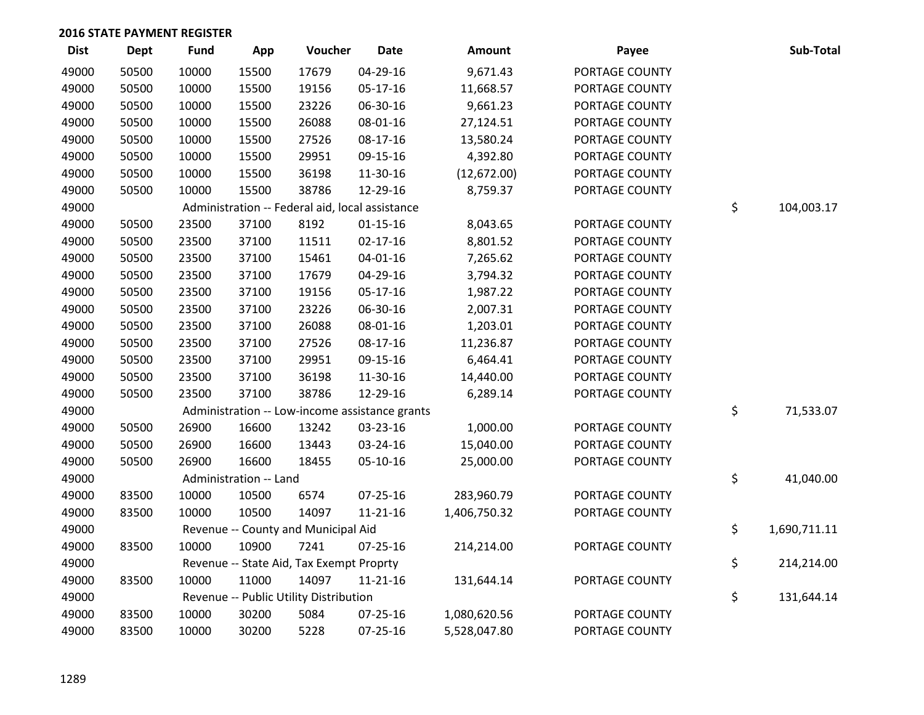| <b>Dist</b> | <b>Dept</b> | <b>Fund</b> | App                    | Voucher                                         | <b>Date</b>    | Amount       | Payee          | Sub-Total          |
|-------------|-------------|-------------|------------------------|-------------------------------------------------|----------------|--------------|----------------|--------------------|
| 49000       | 50500       | 10000       | 15500                  | 17679                                           | 04-29-16       | 9,671.43     | PORTAGE COUNTY |                    |
| 49000       | 50500       | 10000       | 15500                  | 19156                                           | $05-17-16$     | 11,668.57    | PORTAGE COUNTY |                    |
| 49000       | 50500       | 10000       | 15500                  | 23226                                           | 06-30-16       | 9,661.23     | PORTAGE COUNTY |                    |
| 49000       | 50500       | 10000       | 15500                  | 26088                                           | 08-01-16       | 27,124.51    | PORTAGE COUNTY |                    |
| 49000       | 50500       | 10000       | 15500                  | 27526                                           | 08-17-16       | 13,580.24    | PORTAGE COUNTY |                    |
| 49000       | 50500       | 10000       | 15500                  | 29951                                           | 09-15-16       | 4,392.80     | PORTAGE COUNTY |                    |
| 49000       | 50500       | 10000       | 15500                  | 36198                                           | 11-30-16       | (12,672.00)  | PORTAGE COUNTY |                    |
| 49000       | 50500       | 10000       | 15500                  | 38786                                           | 12-29-16       | 8,759.37     | PORTAGE COUNTY |                    |
| 49000       |             |             |                        | Administration -- Federal aid, local assistance |                |              |                | \$<br>104,003.17   |
| 49000       | 50500       | 23500       | 37100                  | 8192                                            | $01 - 15 - 16$ | 8,043.65     | PORTAGE COUNTY |                    |
| 49000       | 50500       | 23500       | 37100                  | 11511                                           | $02 - 17 - 16$ | 8,801.52     | PORTAGE COUNTY |                    |
| 49000       | 50500       | 23500       | 37100                  | 15461                                           | $04 - 01 - 16$ | 7,265.62     | PORTAGE COUNTY |                    |
| 49000       | 50500       | 23500       | 37100                  | 17679                                           | 04-29-16       | 3,794.32     | PORTAGE COUNTY |                    |
| 49000       | 50500       | 23500       | 37100                  | 19156                                           | $05-17-16$     | 1,987.22     | PORTAGE COUNTY |                    |
| 49000       | 50500       | 23500       | 37100                  | 23226                                           | 06-30-16       | 2,007.31     | PORTAGE COUNTY |                    |
| 49000       | 50500       | 23500       | 37100                  | 26088                                           | 08-01-16       | 1,203.01     | PORTAGE COUNTY |                    |
| 49000       | 50500       | 23500       | 37100                  | 27526                                           | 08-17-16       | 11,236.87    | PORTAGE COUNTY |                    |
| 49000       | 50500       | 23500       | 37100                  | 29951                                           | 09-15-16       | 6,464.41     | PORTAGE COUNTY |                    |
| 49000       | 50500       | 23500       | 37100                  | 36198                                           | 11-30-16       | 14,440.00    | PORTAGE COUNTY |                    |
| 49000       | 50500       | 23500       | 37100                  | 38786                                           | 12-29-16       | 6,289.14     | PORTAGE COUNTY |                    |
| 49000       |             |             |                        | Administration -- Low-income assistance grants  |                |              |                | \$<br>71,533.07    |
| 49000       | 50500       | 26900       | 16600                  | 13242                                           | 03-23-16       | 1,000.00     | PORTAGE COUNTY |                    |
| 49000       | 50500       | 26900       | 16600                  | 13443                                           | 03-24-16       | 15,040.00    | PORTAGE COUNTY |                    |
| 49000       | 50500       | 26900       | 16600                  | 18455                                           | 05-10-16       | 25,000.00    | PORTAGE COUNTY |                    |
| 49000       |             |             | Administration -- Land |                                                 |                |              |                | \$<br>41,040.00    |
| 49000       | 83500       | 10000       | 10500                  | 6574                                            | $07 - 25 - 16$ | 283,960.79   | PORTAGE COUNTY |                    |
| 49000       | 83500       | 10000       | 10500                  | 14097                                           | $11 - 21 - 16$ | 1,406,750.32 | PORTAGE COUNTY |                    |
| 49000       |             |             |                        | Revenue -- County and Municipal Aid             |                |              |                | \$<br>1,690,711.11 |
| 49000       | 83500       | 10000       | 10900                  | 7241                                            | 07-25-16       | 214,214.00   | PORTAGE COUNTY |                    |
| 49000       |             |             |                        | Revenue -- State Aid, Tax Exempt Proprty        |                |              |                | \$<br>214,214.00   |
| 49000       | 83500       | 10000       | 11000                  | 14097                                           | $11 - 21 - 16$ | 131,644.14   | PORTAGE COUNTY |                    |
| 49000       |             |             |                        | Revenue -- Public Utility Distribution          |                |              |                | \$<br>131,644.14   |
| 49000       | 83500       | 10000       | 30200                  | 5084                                            | 07-25-16       | 1,080,620.56 | PORTAGE COUNTY |                    |
| 49000       | 83500       | 10000       | 30200                  | 5228                                            | $07 - 25 - 16$ | 5,528,047.80 | PORTAGE COUNTY |                    |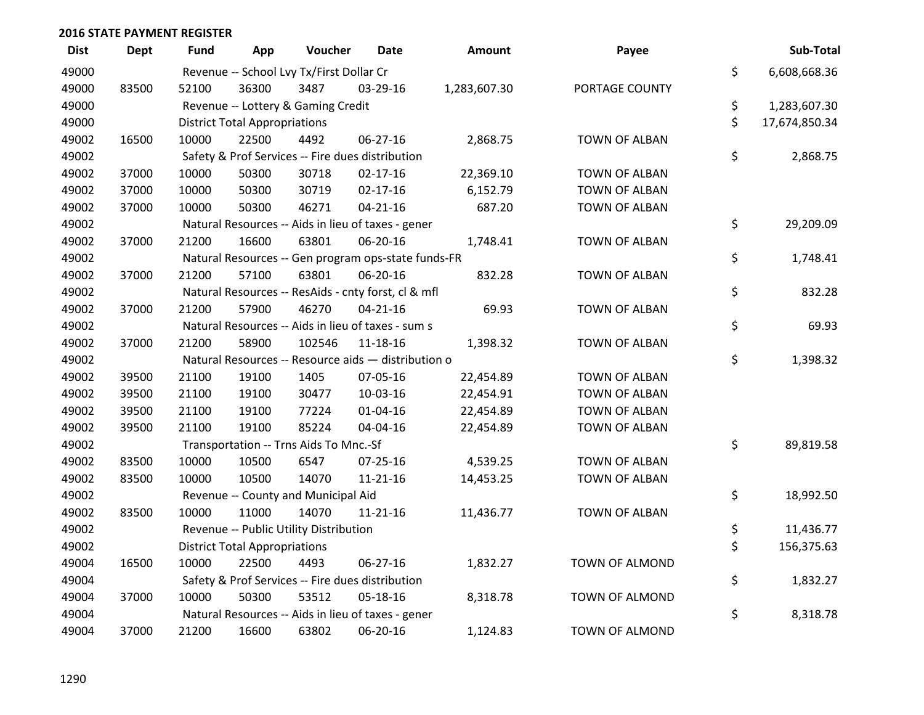| <b>Dist</b> | <b>Dept</b> | <b>Fund</b> | App                                  | Voucher                                             | <b>Date</b>    | Amount       | Payee                | Sub-Total           |
|-------------|-------------|-------------|--------------------------------------|-----------------------------------------------------|----------------|--------------|----------------------|---------------------|
| 49000       |             |             |                                      | Revenue -- School Lvy Tx/First Dollar Cr            |                |              |                      | \$<br>6,608,668.36  |
| 49000       | 83500       | 52100       | 36300                                | 3487                                                | 03-29-16       | 1,283,607.30 | PORTAGE COUNTY       |                     |
| 49000       |             |             |                                      | Revenue -- Lottery & Gaming Credit                  |                |              |                      | \$<br>1,283,607.30  |
| 49000       |             |             | <b>District Total Appropriations</b> |                                                     |                |              |                      | \$<br>17,674,850.34 |
| 49002       | 16500       | 10000       | 22500                                | 4492                                                | 06-27-16       | 2,868.75     | <b>TOWN OF ALBAN</b> |                     |
| 49002       |             |             |                                      | Safety & Prof Services -- Fire dues distribution    |                |              |                      | \$<br>2,868.75      |
| 49002       | 37000       | 10000       | 50300                                | 30718                                               | $02 - 17 - 16$ | 22,369.10    | <b>TOWN OF ALBAN</b> |                     |
| 49002       | 37000       | 10000       | 50300                                | 30719                                               | $02 - 17 - 16$ | 6,152.79     | <b>TOWN OF ALBAN</b> |                     |
| 49002       | 37000       | 10000       | 50300                                | 46271                                               | $04 - 21 - 16$ | 687.20       | TOWN OF ALBAN        |                     |
| 49002       |             |             |                                      | Natural Resources -- Aids in lieu of taxes - gener  |                |              |                      | \$<br>29,209.09     |
| 49002       | 37000       | 21200       | 16600                                | 63801                                               | 06-20-16       | 1,748.41     | <b>TOWN OF ALBAN</b> |                     |
| 49002       |             |             |                                      | Natural Resources -- Gen program ops-state funds-FR |                |              |                      | \$<br>1,748.41      |
| 49002       | 37000       | 21200       | 57100                                | 63801                                               | 06-20-16       | 832.28       | <b>TOWN OF ALBAN</b> |                     |
| 49002       |             |             |                                      | Natural Resources -- ResAids - cnty forst, cl & mfl |                |              |                      | \$<br>832.28        |
| 49002       | 37000       | 21200       | 57900                                | 46270                                               | $04 - 21 - 16$ | 69.93        | <b>TOWN OF ALBAN</b> |                     |
| 49002       |             |             |                                      | Natural Resources -- Aids in lieu of taxes - sum s  |                |              |                      | \$<br>69.93         |
| 49002       | 37000       | 21200       | 58900                                | 102546                                              | 11-18-16       | 1,398.32     | <b>TOWN OF ALBAN</b> |                     |
| 49002       |             |             |                                      | Natural Resources -- Resource aids - distribution o |                |              |                      | \$<br>1,398.32      |
| 49002       | 39500       | 21100       | 19100                                | 1405                                                | 07-05-16       | 22,454.89    | <b>TOWN OF ALBAN</b> |                     |
| 49002       | 39500       | 21100       | 19100                                | 30477                                               | 10-03-16       | 22,454.91    | <b>TOWN OF ALBAN</b> |                     |
| 49002       | 39500       | 21100       | 19100                                | 77224                                               | $01 - 04 - 16$ | 22,454.89    | <b>TOWN OF ALBAN</b> |                     |
| 49002       | 39500       | 21100       | 19100                                | 85224                                               | 04-04-16       | 22,454.89    | <b>TOWN OF ALBAN</b> |                     |
| 49002       |             |             |                                      | Transportation -- Trns Aids To Mnc.-Sf              |                |              |                      | \$<br>89,819.58     |
| 49002       | 83500       | 10000       | 10500                                | 6547                                                | 07-25-16       | 4,539.25     | <b>TOWN OF ALBAN</b> |                     |
| 49002       | 83500       | 10000       | 10500                                | 14070                                               | $11 - 21 - 16$ | 14,453.25    | <b>TOWN OF ALBAN</b> |                     |
| 49002       |             |             |                                      | Revenue -- County and Municipal Aid                 |                |              |                      | \$<br>18,992.50     |
| 49002       | 83500       | 10000       | 11000                                | 14070                                               | $11 - 21 - 16$ | 11,436.77    | <b>TOWN OF ALBAN</b> |                     |
| 49002       |             |             |                                      | Revenue -- Public Utility Distribution              |                |              |                      | \$<br>11,436.77     |
| 49002       |             |             | <b>District Total Appropriations</b> |                                                     |                |              |                      | \$<br>156,375.63    |
| 49004       | 16500       | 10000       | 22500                                | 4493                                                | 06-27-16       | 1,832.27     | TOWN OF ALMOND       |                     |
| 49004       |             |             |                                      | Safety & Prof Services -- Fire dues distribution    |                |              |                      | \$<br>1,832.27      |
| 49004       | 37000       | 10000       | 50300                                | 53512                                               | 05-18-16       | 8,318.78     | TOWN OF ALMOND       |                     |
| 49004       |             |             |                                      | Natural Resources -- Aids in lieu of taxes - gener  |                |              |                      | \$<br>8,318.78      |
| 49004       | 37000       | 21200       | 16600                                | 63802                                               | 06-20-16       | 1,124.83     | TOWN OF ALMOND       |                     |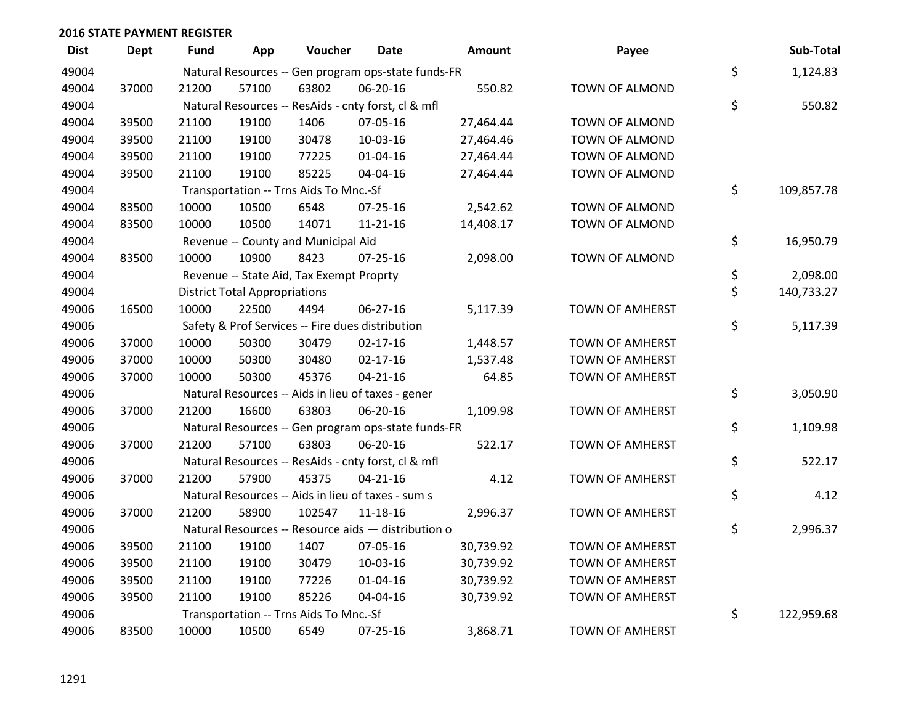| <b>Dist</b> | Dept  | Fund  | App                                  | Voucher                                  | Date                                                | Amount    | Payee                  | Sub-Total        |
|-------------|-------|-------|--------------------------------------|------------------------------------------|-----------------------------------------------------|-----------|------------------------|------------------|
| 49004       |       |       |                                      |                                          | Natural Resources -- Gen program ops-state funds-FR |           |                        | \$<br>1,124.83   |
| 49004       | 37000 | 21200 | 57100                                | 63802                                    | 06-20-16                                            | 550.82    | TOWN OF ALMOND         |                  |
| 49004       |       |       |                                      |                                          | Natural Resources -- ResAids - cnty forst, cl & mfl |           |                        | \$<br>550.82     |
| 49004       | 39500 | 21100 | 19100                                | 1406                                     | 07-05-16                                            | 27,464.44 | TOWN OF ALMOND         |                  |
| 49004       | 39500 | 21100 | 19100                                | 30478                                    | 10-03-16                                            | 27,464.46 | <b>TOWN OF ALMOND</b>  |                  |
| 49004       | 39500 | 21100 | 19100                                | 77225                                    | $01 - 04 - 16$                                      | 27,464.44 | TOWN OF ALMOND         |                  |
| 49004       | 39500 | 21100 | 19100                                | 85225                                    | 04-04-16                                            | 27,464.44 | TOWN OF ALMOND         |                  |
| 49004       |       |       |                                      | Transportation -- Trns Aids To Mnc.-Sf   |                                                     |           |                        | \$<br>109,857.78 |
| 49004       | 83500 | 10000 | 10500                                | 6548                                     | 07-25-16                                            | 2,542.62  | TOWN OF ALMOND         |                  |
| 49004       | 83500 | 10000 | 10500                                | 14071                                    | 11-21-16                                            | 14,408.17 | TOWN OF ALMOND         |                  |
| 49004       |       |       |                                      | Revenue -- County and Municipal Aid      |                                                     |           |                        | \$<br>16,950.79  |
| 49004       | 83500 | 10000 | 10900                                | 8423                                     | $07 - 25 - 16$                                      | 2,098.00  | TOWN OF ALMOND         |                  |
| 49004       |       |       |                                      | Revenue -- State Aid, Tax Exempt Proprty |                                                     |           |                        | \$<br>2,098.00   |
| 49004       |       |       | <b>District Total Appropriations</b> |                                          |                                                     |           |                        | \$<br>140,733.27 |
| 49006       | 16500 | 10000 | 22500                                | 4494                                     | $06 - 27 - 16$                                      | 5,117.39  | <b>TOWN OF AMHERST</b> |                  |
| 49006       |       |       |                                      |                                          | Safety & Prof Services -- Fire dues distribution    |           |                        | \$<br>5,117.39   |
| 49006       | 37000 | 10000 | 50300                                | 30479                                    | $02 - 17 - 16$                                      | 1,448.57  | <b>TOWN OF AMHERST</b> |                  |
| 49006       | 37000 | 10000 | 50300                                | 30480                                    | $02 - 17 - 16$                                      | 1,537.48  | <b>TOWN OF AMHERST</b> |                  |
| 49006       | 37000 | 10000 | 50300                                | 45376                                    | $04 - 21 - 16$                                      | 64.85     | <b>TOWN OF AMHERST</b> |                  |
| 49006       |       |       |                                      |                                          | Natural Resources -- Aids in lieu of taxes - gener  |           |                        | \$<br>3,050.90   |
| 49006       | 37000 | 21200 | 16600                                | 63803                                    | 06-20-16                                            | 1,109.98  | TOWN OF AMHERST        |                  |
| 49006       |       |       |                                      |                                          | Natural Resources -- Gen program ops-state funds-FR |           |                        | \$<br>1,109.98   |
| 49006       | 37000 | 21200 | 57100                                | 63803                                    | 06-20-16                                            | 522.17    | TOWN OF AMHERST        |                  |
| 49006       |       |       |                                      |                                          | Natural Resources -- ResAids - cnty forst, cl & mfl |           |                        | \$<br>522.17     |
| 49006       | 37000 | 21200 | 57900                                | 45375                                    | $04 - 21 - 16$                                      | 4.12      | TOWN OF AMHERST        |                  |
| 49006       |       |       |                                      |                                          | Natural Resources -- Aids in lieu of taxes - sum s  |           |                        | \$<br>4.12       |
| 49006       | 37000 | 21200 | 58900                                | 102547                                   | 11-18-16                                            | 2,996.37  | TOWN OF AMHERST        |                  |
| 49006       |       |       |                                      |                                          | Natural Resources -- Resource aids - distribution o |           |                        | \$<br>2,996.37   |
| 49006       | 39500 | 21100 | 19100                                | 1407                                     | 07-05-16                                            | 30,739.92 | TOWN OF AMHERST        |                  |
| 49006       | 39500 | 21100 | 19100                                | 30479                                    | 10-03-16                                            | 30,739.92 | <b>TOWN OF AMHERST</b> |                  |
| 49006       | 39500 | 21100 | 19100                                | 77226                                    | $01 - 04 - 16$                                      | 30,739.92 | TOWN OF AMHERST        |                  |
| 49006       | 39500 | 21100 | 19100                                | 85226                                    | 04-04-16                                            | 30,739.92 | <b>TOWN OF AMHERST</b> |                  |
| 49006       |       |       |                                      | Transportation -- Trns Aids To Mnc.-Sf   |                                                     |           |                        | \$<br>122,959.68 |
| 49006       | 83500 | 10000 | 10500                                | 6549                                     | 07-25-16                                            | 3,868.71  | <b>TOWN OF AMHERST</b> |                  |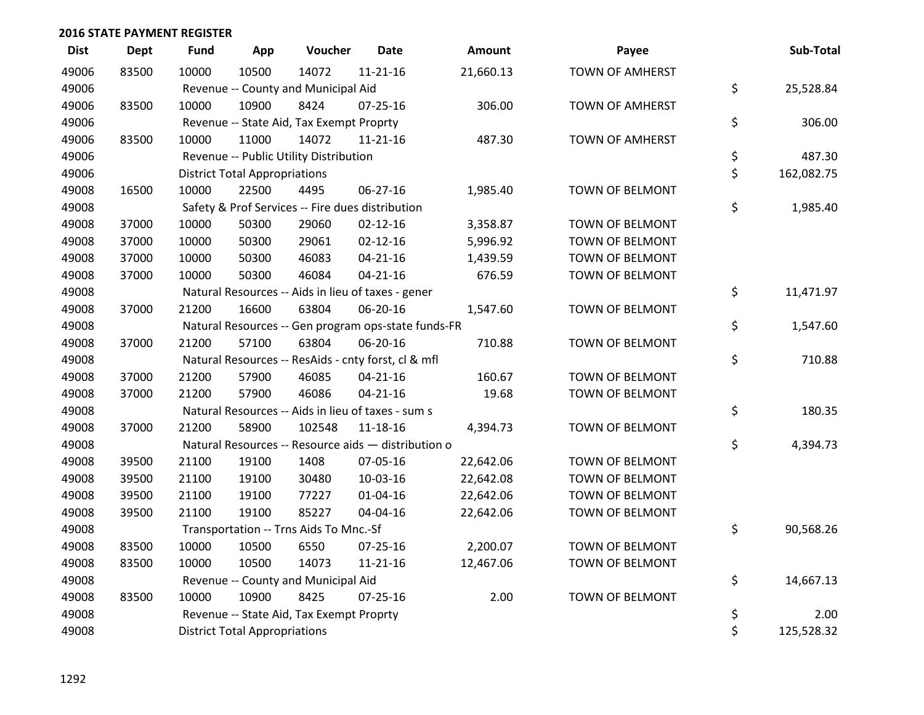| <b>Dist</b> | <b>Dept</b> | <b>Fund</b> | App                                  | Voucher                                  | <b>Date</b>                                         | Amount    | Payee                  | Sub-Total        |
|-------------|-------------|-------------|--------------------------------------|------------------------------------------|-----------------------------------------------------|-----------|------------------------|------------------|
| 49006       | 83500       | 10000       | 10500                                | 14072                                    | $11 - 21 - 16$                                      | 21,660.13 | <b>TOWN OF AMHERST</b> |                  |
| 49006       |             |             |                                      | Revenue -- County and Municipal Aid      |                                                     |           |                        | \$<br>25,528.84  |
| 49006       | 83500       | 10000       | 10900                                | 8424                                     | $07 - 25 - 16$                                      | 306.00    | <b>TOWN OF AMHERST</b> |                  |
| 49006       |             |             |                                      | Revenue -- State Aid, Tax Exempt Proprty |                                                     |           |                        | \$<br>306.00     |
| 49006       | 83500       | 10000       | 11000                                | 14072                                    | $11 - 21 - 16$                                      | 487.30    | <b>TOWN OF AMHERST</b> |                  |
| 49006       |             |             |                                      | Revenue -- Public Utility Distribution   |                                                     |           |                        | \$<br>487.30     |
| 49006       |             |             | <b>District Total Appropriations</b> |                                          |                                                     |           |                        | \$<br>162,082.75 |
| 49008       | 16500       | 10000       | 22500                                | 4495                                     | 06-27-16                                            | 1,985.40  | TOWN OF BELMONT        |                  |
| 49008       |             |             |                                      |                                          | Safety & Prof Services -- Fire dues distribution    |           |                        | \$<br>1,985.40   |
| 49008       | 37000       | 10000       | 50300                                | 29060                                    | $02 - 12 - 16$                                      | 3,358.87  | TOWN OF BELMONT        |                  |
| 49008       | 37000       | 10000       | 50300                                | 29061                                    | $02 - 12 - 16$                                      | 5,996.92  | TOWN OF BELMONT        |                  |
| 49008       | 37000       | 10000       | 50300                                | 46083                                    | $04 - 21 - 16$                                      | 1,439.59  | TOWN OF BELMONT        |                  |
| 49008       | 37000       | 10000       | 50300                                | 46084                                    | $04 - 21 - 16$                                      | 676.59    | TOWN OF BELMONT        |                  |
| 49008       |             |             |                                      |                                          | Natural Resources -- Aids in lieu of taxes - gener  |           |                        | \$<br>11,471.97  |
| 49008       | 37000       | 21200       | 16600                                | 63804                                    | 06-20-16                                            | 1,547.60  | TOWN OF BELMONT        |                  |
| 49008       |             |             |                                      |                                          | Natural Resources -- Gen program ops-state funds-FR |           |                        | \$<br>1,547.60   |
| 49008       | 37000       | 21200       | 57100                                | 63804                                    | 06-20-16                                            | 710.88    | TOWN OF BELMONT        |                  |
| 49008       |             |             |                                      |                                          | Natural Resources -- ResAids - cnty forst, cl & mfl |           |                        | \$<br>710.88     |
| 49008       | 37000       | 21200       | 57900                                | 46085                                    | $04 - 21 - 16$                                      | 160.67    | TOWN OF BELMONT        |                  |
| 49008       | 37000       | 21200       | 57900                                | 46086                                    | $04 - 21 - 16$                                      | 19.68     | TOWN OF BELMONT        |                  |
| 49008       |             |             |                                      |                                          | Natural Resources -- Aids in lieu of taxes - sum s  |           |                        | \$<br>180.35     |
| 49008       | 37000       | 21200       | 58900                                | 102548                                   | 11-18-16                                            | 4,394.73  | TOWN OF BELMONT        |                  |
| 49008       |             |             |                                      |                                          | Natural Resources -- Resource aids - distribution o |           |                        | \$<br>4,394.73   |
| 49008       | 39500       | 21100       | 19100                                | 1408                                     | 07-05-16                                            | 22,642.06 | TOWN OF BELMONT        |                  |
| 49008       | 39500       | 21100       | 19100                                | 30480                                    | 10-03-16                                            | 22,642.08 | TOWN OF BELMONT        |                  |
| 49008       | 39500       | 21100       | 19100                                | 77227                                    | $01 - 04 - 16$                                      | 22,642.06 | TOWN OF BELMONT        |                  |
| 49008       | 39500       | 21100       | 19100                                | 85227                                    | 04-04-16                                            | 22,642.06 | TOWN OF BELMONT        |                  |
| 49008       |             |             |                                      | Transportation -- Trns Aids To Mnc.-Sf   |                                                     |           |                        | \$<br>90,568.26  |
| 49008       | 83500       | 10000       | 10500                                | 6550                                     | $07 - 25 - 16$                                      | 2,200.07  | <b>TOWN OF BELMONT</b> |                  |
| 49008       | 83500       | 10000       | 10500                                | 14073                                    | $11 - 21 - 16$                                      | 12,467.06 | TOWN OF BELMONT        |                  |
| 49008       |             |             |                                      | Revenue -- County and Municipal Aid      |                                                     |           |                        | \$<br>14,667.13  |
| 49008       | 83500       | 10000       | 10900                                | 8425                                     | $07 - 25 - 16$                                      | 2.00      | TOWN OF BELMONT        |                  |
| 49008       |             |             |                                      | Revenue -- State Aid, Tax Exempt Proprty |                                                     |           |                        | \$<br>2.00       |
| 49008       |             |             | <b>District Total Appropriations</b> |                                          |                                                     |           |                        | \$<br>125,528.32 |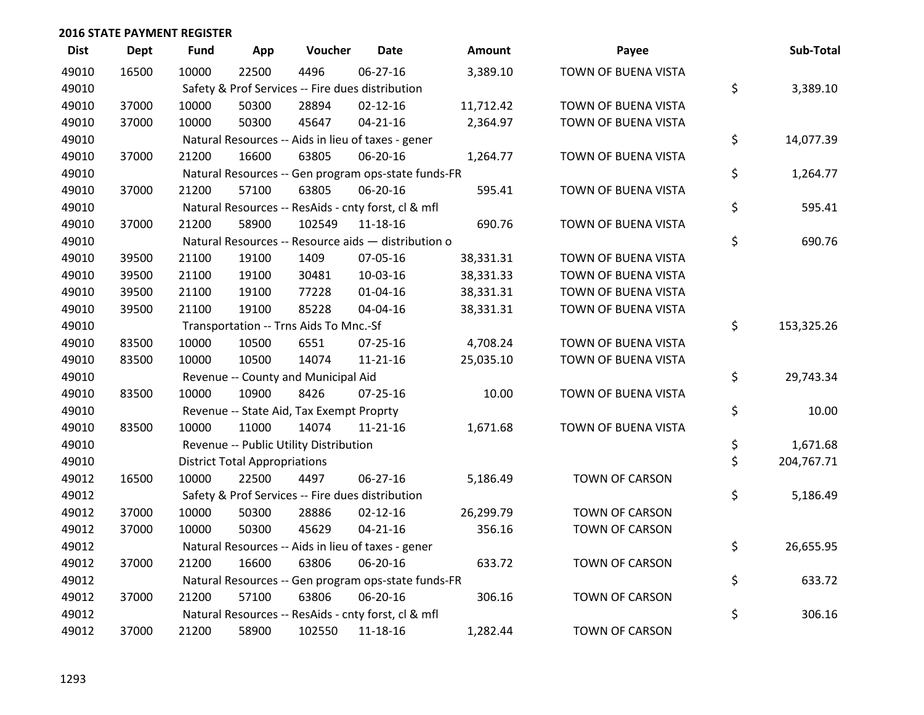| <b>Dist</b> | <b>Dept</b> | <b>Fund</b> | App                                  | Voucher                                  | Date                                                | Amount    | Payee                 | Sub-Total        |
|-------------|-------------|-------------|--------------------------------------|------------------------------------------|-----------------------------------------------------|-----------|-----------------------|------------------|
| 49010       | 16500       | 10000       | 22500                                | 4496                                     | $06 - 27 - 16$                                      | 3,389.10  | TOWN OF BUENA VISTA   |                  |
| 49010       |             |             |                                      |                                          | Safety & Prof Services -- Fire dues distribution    |           |                       | \$<br>3,389.10   |
| 49010       | 37000       | 10000       | 50300                                | 28894                                    | $02 - 12 - 16$                                      | 11,712.42 | TOWN OF BUENA VISTA   |                  |
| 49010       | 37000       | 10000       | 50300                                | 45647                                    | $04 - 21 - 16$                                      | 2,364.97  | TOWN OF BUENA VISTA   |                  |
| 49010       |             |             |                                      |                                          | Natural Resources -- Aids in lieu of taxes - gener  |           |                       | \$<br>14,077.39  |
| 49010       | 37000       | 21200       | 16600                                | 63805                                    | 06-20-16                                            | 1,264.77  | TOWN OF BUENA VISTA   |                  |
| 49010       |             |             |                                      |                                          | Natural Resources -- Gen program ops-state funds-FR |           |                       | \$<br>1,264.77   |
| 49010       | 37000       | 21200       | 57100                                | 63805                                    | 06-20-16                                            | 595.41    | TOWN OF BUENA VISTA   |                  |
| 49010       |             |             |                                      |                                          | Natural Resources -- ResAids - cnty forst, cl & mfl |           |                       | \$<br>595.41     |
| 49010       | 37000       | 21200       | 58900                                | 102549                                   | 11-18-16                                            | 690.76    | TOWN OF BUENA VISTA   |                  |
| 49010       |             |             |                                      |                                          | Natural Resources -- Resource aids - distribution o |           |                       | \$<br>690.76     |
| 49010       | 39500       | 21100       | 19100                                | 1409                                     | 07-05-16                                            | 38,331.31 | TOWN OF BUENA VISTA   |                  |
| 49010       | 39500       | 21100       | 19100                                | 30481                                    | 10-03-16                                            | 38,331.33 | TOWN OF BUENA VISTA   |                  |
| 49010       | 39500       | 21100       | 19100                                | 77228                                    | $01 - 04 - 16$                                      | 38,331.31 | TOWN OF BUENA VISTA   |                  |
| 49010       | 39500       | 21100       | 19100                                | 85228                                    | 04-04-16                                            | 38,331.31 | TOWN OF BUENA VISTA   |                  |
| 49010       |             |             |                                      | Transportation -- Trns Aids To Mnc.-Sf   |                                                     |           |                       | \$<br>153,325.26 |
| 49010       | 83500       | 10000       | 10500                                | 6551                                     | 07-25-16                                            | 4,708.24  | TOWN OF BUENA VISTA   |                  |
| 49010       | 83500       | 10000       | 10500                                | 14074                                    | $11 - 21 - 16$                                      | 25,035.10 | TOWN OF BUENA VISTA   |                  |
| 49010       |             |             |                                      | Revenue -- County and Municipal Aid      |                                                     |           |                       | \$<br>29,743.34  |
| 49010       | 83500       | 10000       | 10900                                | 8426                                     | $07 - 25 - 16$                                      | 10.00     | TOWN OF BUENA VISTA   |                  |
| 49010       |             |             |                                      | Revenue -- State Aid, Tax Exempt Proprty |                                                     |           |                       | \$<br>10.00      |
| 49010       | 83500       | 10000       | 11000                                | 14074                                    | $11 - 21 - 16$                                      | 1,671.68  | TOWN OF BUENA VISTA   |                  |
| 49010       |             |             |                                      | Revenue -- Public Utility Distribution   |                                                     |           |                       | \$<br>1,671.68   |
| 49010       |             |             | <b>District Total Appropriations</b> |                                          |                                                     |           |                       | \$<br>204,767.71 |
| 49012       | 16500       | 10000       | 22500                                | 4497                                     | $06 - 27 - 16$                                      | 5,186.49  | TOWN OF CARSON        |                  |
| 49012       |             |             |                                      |                                          | Safety & Prof Services -- Fire dues distribution    |           |                       | \$<br>5,186.49   |
| 49012       | 37000       | 10000       | 50300                                | 28886                                    | $02 - 12 - 16$                                      | 26,299.79 | <b>TOWN OF CARSON</b> |                  |
| 49012       | 37000       | 10000       | 50300                                | 45629                                    | $04 - 21 - 16$                                      | 356.16    | <b>TOWN OF CARSON</b> |                  |
| 49012       |             |             |                                      |                                          | Natural Resources -- Aids in lieu of taxes - gener  |           |                       | \$<br>26,655.95  |
| 49012       | 37000       | 21200       | 16600                                | 63806                                    | 06-20-16                                            | 633.72    | <b>TOWN OF CARSON</b> |                  |
| 49012       |             |             |                                      |                                          | Natural Resources -- Gen program ops-state funds-FR |           |                       | \$<br>633.72     |
| 49012       | 37000       | 21200       | 57100                                | 63806                                    | 06-20-16                                            | 306.16    | <b>TOWN OF CARSON</b> |                  |
| 49012       |             |             |                                      |                                          | Natural Resources -- ResAids - cnty forst, cl & mfl |           |                       | \$<br>306.16     |
| 49012       | 37000       | 21200       | 58900                                | 102550                                   | 11-18-16                                            | 1,282.44  | <b>TOWN OF CARSON</b> |                  |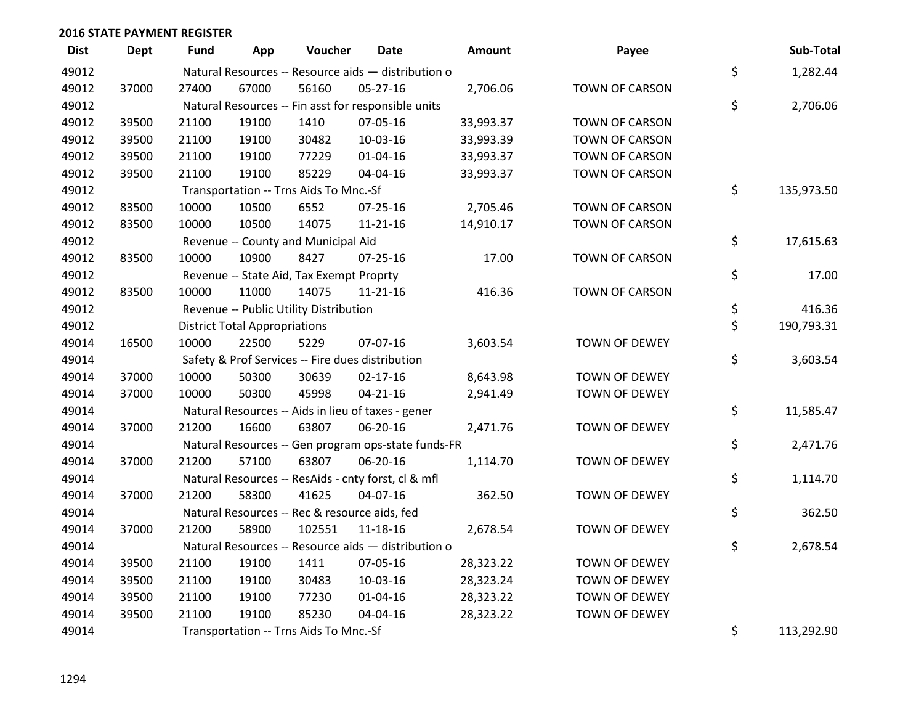| <b>Dist</b> | <b>Dept</b> | <b>Fund</b> | App                                  | Voucher                                       | <b>Date</b>                                         | Amount    | Payee                 | Sub-Total        |
|-------------|-------------|-------------|--------------------------------------|-----------------------------------------------|-----------------------------------------------------|-----------|-----------------------|------------------|
| 49012       |             |             |                                      |                                               | Natural Resources -- Resource aids - distribution o |           |                       | \$<br>1,282.44   |
| 49012       | 37000       | 27400       | 67000                                | 56160                                         | 05-27-16                                            | 2,706.06  | TOWN OF CARSON        |                  |
| 49012       |             |             |                                      |                                               | Natural Resources -- Fin asst for responsible units |           |                       | \$<br>2,706.06   |
| 49012       | 39500       | 21100       | 19100                                | 1410                                          | 07-05-16                                            | 33,993.37 | <b>TOWN OF CARSON</b> |                  |
| 49012       | 39500       | 21100       | 19100                                | 30482                                         | 10-03-16                                            | 33,993.39 | TOWN OF CARSON        |                  |
| 49012       | 39500       | 21100       | 19100                                | 77229                                         | $01 - 04 - 16$                                      | 33,993.37 | TOWN OF CARSON        |                  |
| 49012       | 39500       | 21100       | 19100                                | 85229                                         | 04-04-16                                            | 33,993.37 | TOWN OF CARSON        |                  |
| 49012       |             |             |                                      | Transportation -- Trns Aids To Mnc.-Sf        |                                                     |           |                       | \$<br>135,973.50 |
| 49012       | 83500       | 10000       | 10500                                | 6552                                          | $07 - 25 - 16$                                      | 2,705.46  | TOWN OF CARSON        |                  |
| 49012       | 83500       | 10000       | 10500                                | 14075                                         | $11 - 21 - 16$                                      | 14,910.17 | <b>TOWN OF CARSON</b> |                  |
| 49012       |             |             |                                      | Revenue -- County and Municipal Aid           |                                                     |           |                       | \$<br>17,615.63  |
| 49012       | 83500       | 10000       | 10900                                | 8427                                          | $07 - 25 - 16$                                      | 17.00     | TOWN OF CARSON        |                  |
| 49012       |             |             |                                      | Revenue -- State Aid, Tax Exempt Proprty      |                                                     |           |                       | \$<br>17.00      |
| 49012       | 83500       | 10000       | 11000                                | 14075                                         | $11 - 21 - 16$                                      | 416.36    | TOWN OF CARSON        |                  |
| 49012       |             |             |                                      | Revenue -- Public Utility Distribution        |                                                     |           |                       | \$<br>416.36     |
| 49012       |             |             | <b>District Total Appropriations</b> |                                               |                                                     |           |                       | \$<br>190,793.31 |
| 49014       | 16500       | 10000       | 22500                                | 5229                                          | 07-07-16                                            | 3,603.54  | <b>TOWN OF DEWEY</b>  |                  |
| 49014       |             |             |                                      |                                               | Safety & Prof Services -- Fire dues distribution    |           |                       | \$<br>3,603.54   |
| 49014       | 37000       | 10000       | 50300                                | 30639                                         | $02 - 17 - 16$                                      | 8,643.98  | TOWN OF DEWEY         |                  |
| 49014       | 37000       | 10000       | 50300                                | 45998                                         | $04 - 21 - 16$                                      | 2,941.49  | TOWN OF DEWEY         |                  |
| 49014       |             |             |                                      |                                               | Natural Resources -- Aids in lieu of taxes - gener  |           |                       | \$<br>11,585.47  |
| 49014       | 37000       | 21200       | 16600                                | 63807                                         | 06-20-16                                            | 2,471.76  | <b>TOWN OF DEWEY</b>  |                  |
| 49014       |             |             |                                      |                                               | Natural Resources -- Gen program ops-state funds-FR |           |                       | \$<br>2,471.76   |
| 49014       | 37000       | 21200       | 57100                                | 63807                                         | 06-20-16                                            | 1,114.70  | TOWN OF DEWEY         |                  |
| 49014       |             |             |                                      |                                               | Natural Resources -- ResAids - cnty forst, cl & mfl |           |                       | \$<br>1,114.70   |
| 49014       | 37000       | 21200       | 58300                                | 41625                                         | 04-07-16                                            | 362.50    | TOWN OF DEWEY         |                  |
| 49014       |             |             |                                      | Natural Resources -- Rec & resource aids, fed |                                                     |           |                       | \$<br>362.50     |
| 49014       | 37000       | 21200       | 58900                                | 102551                                        | $11 - 18 - 16$                                      | 2,678.54  | <b>TOWN OF DEWEY</b>  |                  |
| 49014       |             |             |                                      |                                               | Natural Resources -- Resource aids - distribution o |           |                       | \$<br>2,678.54   |
| 49014       | 39500       | 21100       | 19100                                | 1411                                          | 07-05-16                                            | 28,323.22 | <b>TOWN OF DEWEY</b>  |                  |
| 49014       | 39500       | 21100       | 19100                                | 30483                                         | 10-03-16                                            | 28,323.24 | TOWN OF DEWEY         |                  |
| 49014       | 39500       | 21100       | 19100                                | 77230                                         | $01 - 04 - 16$                                      | 28,323.22 | TOWN OF DEWEY         |                  |
| 49014       | 39500       | 21100       | 19100                                | 85230                                         | 04-04-16                                            | 28,323.22 | TOWN OF DEWEY         |                  |
| 49014       |             |             |                                      | Transportation -- Trns Aids To Mnc.-Sf        |                                                     |           |                       | \$<br>113,292.90 |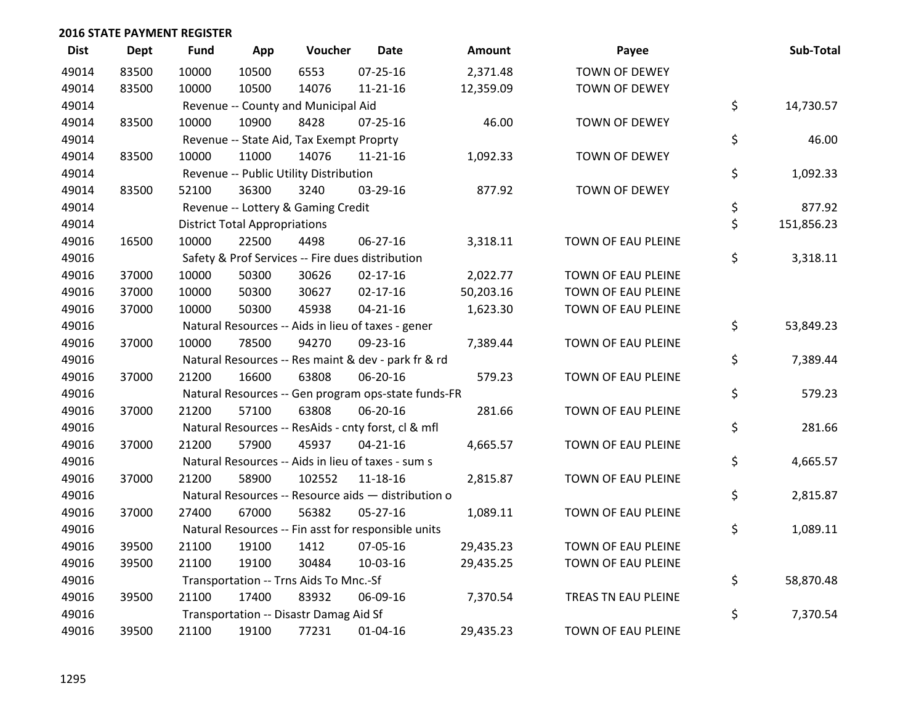| <b>Dist</b> | Dept  | <b>Fund</b> | App                                  | Voucher                                          | <b>Date</b>                                         | <b>Amount</b> | Payee                | Sub-Total        |
|-------------|-------|-------------|--------------------------------------|--------------------------------------------------|-----------------------------------------------------|---------------|----------------------|------------------|
| 49014       | 83500 | 10000       | 10500                                | 6553                                             | $07 - 25 - 16$                                      | 2,371.48      | <b>TOWN OF DEWEY</b> |                  |
| 49014       | 83500 | 10000       | 10500                                | 14076                                            | $11 - 21 - 16$                                      | 12,359.09     | TOWN OF DEWEY        |                  |
| 49014       |       |             |                                      | Revenue -- County and Municipal Aid              |                                                     |               |                      | \$<br>14,730.57  |
| 49014       | 83500 | 10000       | 10900                                | 8428                                             | $07 - 25 - 16$                                      | 46.00         | TOWN OF DEWEY        |                  |
| 49014       |       |             |                                      | Revenue -- State Aid, Tax Exempt Proprty         |                                                     |               |                      | \$<br>46.00      |
| 49014       | 83500 | 10000       | 11000                                | 14076                                            | $11 - 21 - 16$                                      | 1,092.33      | TOWN OF DEWEY        |                  |
| 49014       |       |             |                                      | Revenue -- Public Utility Distribution           |                                                     |               |                      | \$<br>1,092.33   |
| 49014       | 83500 | 52100       | 36300                                | 3240                                             | 03-29-16                                            | 877.92        | TOWN OF DEWEY        |                  |
| 49014       |       |             |                                      | Revenue -- Lottery & Gaming Credit               |                                                     |               |                      | \$<br>877.92     |
| 49014       |       |             | <b>District Total Appropriations</b> |                                                  |                                                     |               |                      | \$<br>151,856.23 |
| 49016       | 16500 | 10000       | 22500                                | 4498                                             | 06-27-16                                            | 3,318.11      | TOWN OF EAU PLEINE   |                  |
| 49016       |       |             |                                      | Safety & Prof Services -- Fire dues distribution |                                                     |               |                      | \$<br>3,318.11   |
| 49016       | 37000 | 10000       | 50300                                | 30626                                            | $02 - 17 - 16$                                      | 2,022.77      | TOWN OF EAU PLEINE   |                  |
| 49016       | 37000 | 10000       | 50300                                | 30627                                            | $02 - 17 - 16$                                      | 50,203.16     | TOWN OF EAU PLEINE   |                  |
| 49016       | 37000 | 10000       | 50300                                | 45938                                            | $04 - 21 - 16$                                      | 1,623.30      | TOWN OF EAU PLEINE   |                  |
| 49016       |       |             |                                      |                                                  | Natural Resources -- Aids in lieu of taxes - gener  |               |                      | \$<br>53,849.23  |
| 49016       | 37000 | 10000       | 78500                                | 94270                                            | 09-23-16                                            | 7,389.44      | TOWN OF EAU PLEINE   |                  |
| 49016       |       |             |                                      |                                                  | Natural Resources -- Res maint & dev - park fr & rd |               |                      | \$<br>7,389.44   |
| 49016       | 37000 | 21200       | 16600                                | 63808                                            | 06-20-16                                            | 579.23        | TOWN OF EAU PLEINE   |                  |
| 49016       |       |             |                                      |                                                  | Natural Resources -- Gen program ops-state funds-FR |               |                      | \$<br>579.23     |
| 49016       | 37000 | 21200       | 57100                                | 63808                                            | 06-20-16                                            | 281.66        | TOWN OF EAU PLEINE   |                  |
| 49016       |       |             |                                      |                                                  | Natural Resources -- ResAids - cnty forst, cl & mfl |               |                      | \$<br>281.66     |
| 49016       | 37000 | 21200       | 57900                                | 45937                                            | $04 - 21 - 16$                                      | 4,665.57      | TOWN OF EAU PLEINE   |                  |
| 49016       |       |             |                                      |                                                  | Natural Resources -- Aids in lieu of taxes - sum s  |               |                      | \$<br>4,665.57   |
| 49016       | 37000 | 21200       | 58900                                | 102552                                           | $11 - 18 - 16$                                      | 2,815.87      | TOWN OF EAU PLEINE   |                  |
| 49016       |       |             |                                      |                                                  | Natural Resources -- Resource aids - distribution o |               |                      | \$<br>2,815.87   |
| 49016       | 37000 | 27400       | 67000                                | 56382                                            | 05-27-16                                            | 1,089.11      | TOWN OF EAU PLEINE   |                  |
| 49016       |       |             |                                      |                                                  | Natural Resources -- Fin asst for responsible units |               |                      | \$<br>1,089.11   |
| 49016       | 39500 | 21100       | 19100                                | 1412                                             | 07-05-16                                            | 29,435.23     | TOWN OF EAU PLEINE   |                  |
| 49016       | 39500 | 21100       | 19100                                | 30484                                            | 10-03-16                                            | 29,435.25     | TOWN OF EAU PLEINE   |                  |
| 49016       |       |             |                                      | Transportation -- Trns Aids To Mnc.-Sf           |                                                     |               |                      | \$<br>58,870.48  |
| 49016       | 39500 | 21100       | 17400                                | 83932                                            | 06-09-16                                            | 7,370.54      | TREAS TN EAU PLEINE  |                  |
| 49016       |       |             |                                      | Transportation -- Disastr Damag Aid Sf           |                                                     |               |                      | \$<br>7,370.54   |
| 49016       | 39500 | 21100       | 19100                                | 77231                                            | $01 - 04 - 16$                                      | 29,435.23     | TOWN OF EAU PLEINE   |                  |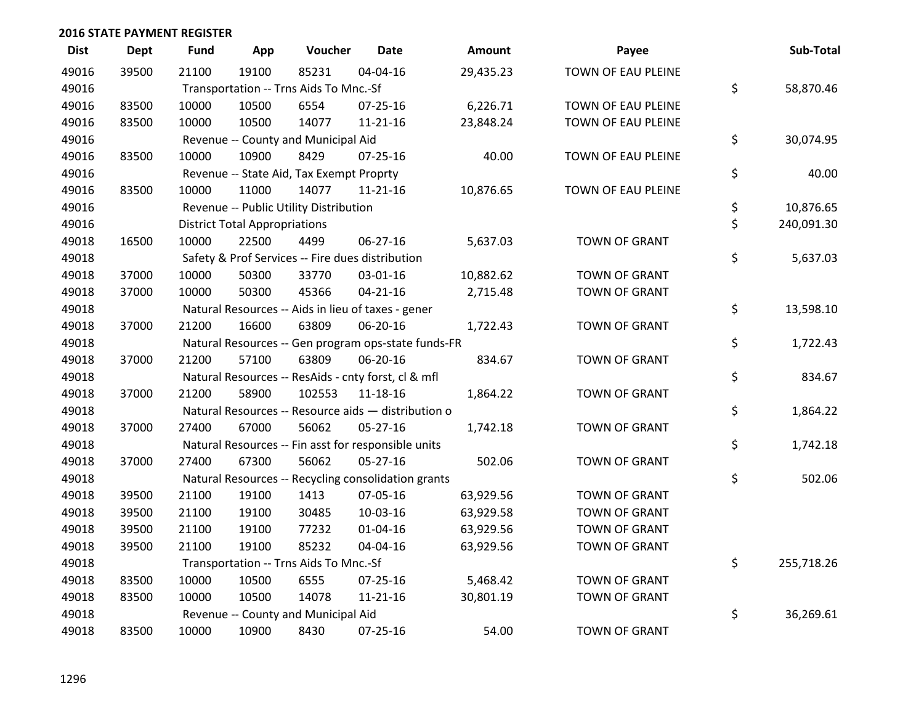| <b>Dist</b> | <b>Dept</b> | <b>Fund</b> | App                                  | Voucher                                             | Date           | <b>Amount</b> | Payee                | Sub-Total        |
|-------------|-------------|-------------|--------------------------------------|-----------------------------------------------------|----------------|---------------|----------------------|------------------|
| 49016       | 39500       | 21100       | 19100                                | 85231                                               | 04-04-16       | 29,435.23     | TOWN OF EAU PLEINE   |                  |
| 49016       |             |             |                                      | Transportation -- Trns Aids To Mnc.-Sf              |                |               |                      | \$<br>58,870.46  |
| 49016       | 83500       | 10000       | 10500                                | 6554                                                | 07-25-16       | 6,226.71      | TOWN OF EAU PLEINE   |                  |
| 49016       | 83500       | 10000       | 10500                                | 14077                                               | $11 - 21 - 16$ | 23,848.24     | TOWN OF EAU PLEINE   |                  |
| 49016       |             |             |                                      | Revenue -- County and Municipal Aid                 |                |               |                      | \$<br>30,074.95  |
| 49016       | 83500       | 10000       | 10900                                | 8429                                                | $07 - 25 - 16$ | 40.00         | TOWN OF EAU PLEINE   |                  |
| 49016       |             |             |                                      | Revenue -- State Aid, Tax Exempt Proprty            |                |               |                      | \$<br>40.00      |
| 49016       | 83500       | 10000       | 11000                                | 14077                                               | $11 - 21 - 16$ | 10,876.65     | TOWN OF EAU PLEINE   |                  |
| 49016       |             |             |                                      | Revenue -- Public Utility Distribution              |                |               |                      | \$<br>10,876.65  |
| 49016       |             |             | <b>District Total Appropriations</b> |                                                     |                |               |                      | \$<br>240,091.30 |
| 49018       | 16500       | 10000       | 22500                                | 4499                                                | 06-27-16       | 5,637.03      | <b>TOWN OF GRANT</b> |                  |
| 49018       |             |             |                                      | Safety & Prof Services -- Fire dues distribution    |                |               |                      | \$<br>5,637.03   |
| 49018       | 37000       | 10000       | 50300                                | 33770                                               | 03-01-16       | 10,882.62     | <b>TOWN OF GRANT</b> |                  |
| 49018       | 37000       | 10000       | 50300                                | 45366                                               | $04 - 21 - 16$ | 2,715.48      | TOWN OF GRANT        |                  |
| 49018       |             |             |                                      | Natural Resources -- Aids in lieu of taxes - gener  |                |               |                      | \$<br>13,598.10  |
| 49018       | 37000       | 21200       | 16600                                | 63809                                               | 06-20-16       | 1,722.43      | <b>TOWN OF GRANT</b> |                  |
| 49018       |             |             |                                      | Natural Resources -- Gen program ops-state funds-FR |                |               |                      | \$<br>1,722.43   |
| 49018       | 37000       | 21200       | 57100                                | 63809                                               | 06-20-16       | 834.67        | <b>TOWN OF GRANT</b> |                  |
| 49018       |             |             |                                      | Natural Resources -- ResAids - cnty forst, cl & mfl |                |               |                      | \$<br>834.67     |
| 49018       | 37000       | 21200       | 58900                                | 102553                                              | $11 - 18 - 16$ | 1,864.22      | TOWN OF GRANT        |                  |
| 49018       |             |             |                                      | Natural Resources -- Resource aids - distribution o |                |               |                      | \$<br>1,864.22   |
| 49018       | 37000       | 27400       | 67000                                | 56062                                               | $05 - 27 - 16$ | 1,742.18      | TOWN OF GRANT        |                  |
| 49018       |             |             |                                      | Natural Resources -- Fin asst for responsible units |                |               |                      | \$<br>1,742.18   |
| 49018       | 37000       | 27400       | 67300                                | 56062                                               | $05 - 27 - 16$ | 502.06        | TOWN OF GRANT        |                  |
| 49018       |             |             |                                      | Natural Resources -- Recycling consolidation grants |                |               |                      | \$<br>502.06     |
| 49018       | 39500       | 21100       | 19100                                | 1413                                                | 07-05-16       | 63,929.56     | <b>TOWN OF GRANT</b> |                  |
| 49018       | 39500       | 21100       | 19100                                | 30485                                               | 10-03-16       | 63,929.58     | <b>TOWN OF GRANT</b> |                  |
| 49018       | 39500       | 21100       | 19100                                | 77232                                               | $01 - 04 - 16$ | 63,929.56     | <b>TOWN OF GRANT</b> |                  |
| 49018       | 39500       | 21100       | 19100                                | 85232                                               | 04-04-16       | 63,929.56     | <b>TOWN OF GRANT</b> |                  |
| 49018       |             |             |                                      | Transportation -- Trns Aids To Mnc.-Sf              |                |               |                      | \$<br>255,718.26 |
| 49018       | 83500       | 10000       | 10500                                | 6555                                                | $07 - 25 - 16$ | 5,468.42      | <b>TOWN OF GRANT</b> |                  |
| 49018       | 83500       | 10000       | 10500                                | 14078                                               | $11 - 21 - 16$ | 30,801.19     | <b>TOWN OF GRANT</b> |                  |
| 49018       |             |             |                                      | Revenue -- County and Municipal Aid                 |                |               |                      | \$<br>36,269.61  |
| 49018       | 83500       | 10000       | 10900                                | 8430                                                | 07-25-16       | 54.00         | <b>TOWN OF GRANT</b> |                  |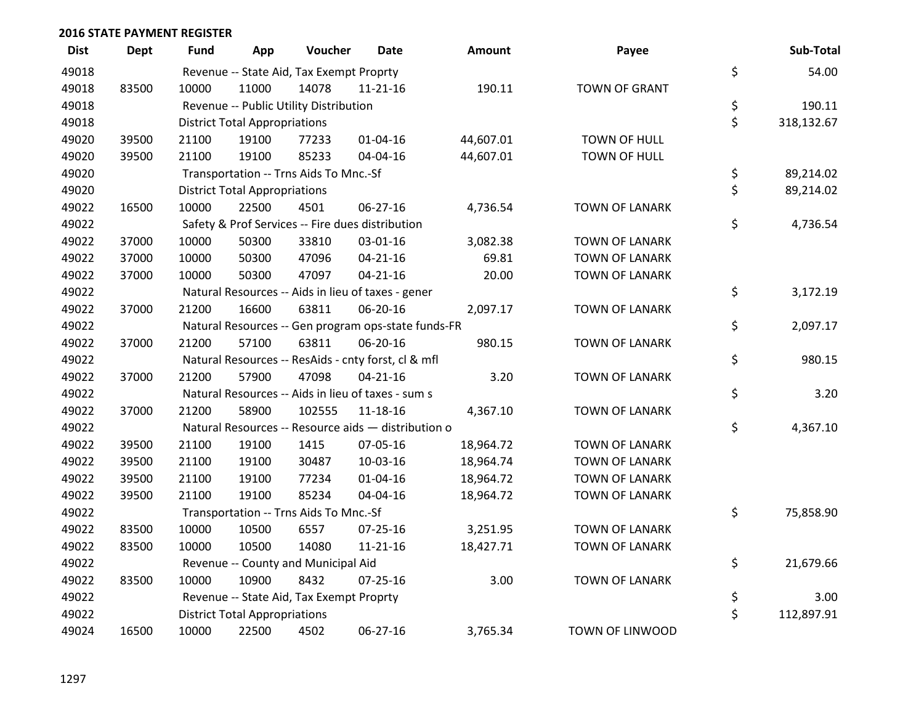| <b>Dist</b> | Dept  | Fund  | App                                  | Voucher                                  | Date                                                | Amount    | Payee                  | Sub-Total        |
|-------------|-------|-------|--------------------------------------|------------------------------------------|-----------------------------------------------------|-----------|------------------------|------------------|
| 49018       |       |       |                                      | Revenue -- State Aid, Tax Exempt Proprty |                                                     |           |                        | \$<br>54.00      |
| 49018       | 83500 | 10000 | 11000                                | 14078                                    | $11 - 21 - 16$                                      | 190.11    | <b>TOWN OF GRANT</b>   |                  |
| 49018       |       |       |                                      | Revenue -- Public Utility Distribution   |                                                     |           |                        | \$<br>190.11     |
| 49018       |       |       | <b>District Total Appropriations</b> |                                          |                                                     |           |                        | \$<br>318,132.67 |
| 49020       | 39500 | 21100 | 19100                                | 77233                                    | $01 - 04 - 16$                                      | 44,607.01 | TOWN OF HULL           |                  |
| 49020       | 39500 | 21100 | 19100                                | 85233                                    | 04-04-16                                            | 44,607.01 | TOWN OF HULL           |                  |
| 49020       |       |       |                                      | Transportation -- Trns Aids To Mnc.-Sf   |                                                     |           |                        | \$<br>89,214.02  |
| 49020       |       |       | <b>District Total Appropriations</b> |                                          |                                                     |           |                        | \$<br>89,214.02  |
| 49022       | 16500 | 10000 | 22500                                | 4501                                     | 06-27-16                                            | 4,736.54  | <b>TOWN OF LANARK</b>  |                  |
| 49022       |       |       |                                      |                                          | Safety & Prof Services -- Fire dues distribution    |           |                        | \$<br>4,736.54   |
| 49022       | 37000 | 10000 | 50300                                | 33810                                    | 03-01-16                                            | 3,082.38  | <b>TOWN OF LANARK</b>  |                  |
| 49022       | 37000 | 10000 | 50300                                | 47096                                    | $04 - 21 - 16$                                      | 69.81     | <b>TOWN OF LANARK</b>  |                  |
| 49022       | 37000 | 10000 | 50300                                | 47097                                    | $04 - 21 - 16$                                      | 20.00     | <b>TOWN OF LANARK</b>  |                  |
| 49022       |       |       |                                      |                                          | Natural Resources -- Aids in lieu of taxes - gener  |           |                        | \$<br>3,172.19   |
| 49022       | 37000 | 21200 | 16600                                | 63811                                    | 06-20-16                                            | 2,097.17  | <b>TOWN OF LANARK</b>  |                  |
| 49022       |       |       |                                      |                                          | Natural Resources -- Gen program ops-state funds-FR |           |                        | \$<br>2,097.17   |
| 49022       | 37000 | 21200 | 57100                                | 63811                                    | 06-20-16                                            | 980.15    | <b>TOWN OF LANARK</b>  |                  |
| 49022       |       |       |                                      |                                          | Natural Resources -- ResAids - cnty forst, cl & mfl |           |                        | \$<br>980.15     |
| 49022       | 37000 | 21200 | 57900                                | 47098                                    | $04 - 21 - 16$                                      | 3.20      | <b>TOWN OF LANARK</b>  |                  |
| 49022       |       |       |                                      |                                          | Natural Resources -- Aids in lieu of taxes - sum s  |           |                        | \$<br>3.20       |
| 49022       | 37000 | 21200 | 58900                                | 102555                                   | 11-18-16                                            | 4,367.10  | <b>TOWN OF LANARK</b>  |                  |
| 49022       |       |       |                                      |                                          | Natural Resources -- Resource aids - distribution o |           |                        | \$<br>4,367.10   |
| 49022       | 39500 | 21100 | 19100                                | 1415                                     | 07-05-16                                            | 18,964.72 | <b>TOWN OF LANARK</b>  |                  |
| 49022       | 39500 | 21100 | 19100                                | 30487                                    | 10-03-16                                            | 18,964.74 | <b>TOWN OF LANARK</b>  |                  |
| 49022       | 39500 | 21100 | 19100                                | 77234                                    | $01 - 04 - 16$                                      | 18,964.72 | <b>TOWN OF LANARK</b>  |                  |
| 49022       | 39500 | 21100 | 19100                                | 85234                                    | 04-04-16                                            | 18,964.72 | <b>TOWN OF LANARK</b>  |                  |
| 49022       |       |       |                                      | Transportation -- Trns Aids To Mnc.-Sf   |                                                     |           |                        | \$<br>75,858.90  |
| 49022       | 83500 | 10000 | 10500                                | 6557                                     | 07-25-16                                            | 3,251.95  | <b>TOWN OF LANARK</b>  |                  |
| 49022       | 83500 | 10000 | 10500                                | 14080                                    | $11 - 21 - 16$                                      | 18,427.71 | <b>TOWN OF LANARK</b>  |                  |
| 49022       |       |       |                                      | Revenue -- County and Municipal Aid      |                                                     |           |                        | \$<br>21,679.66  |
| 49022       | 83500 | 10000 | 10900                                | 8432                                     | $07 - 25 - 16$                                      | 3.00      | <b>TOWN OF LANARK</b>  |                  |
| 49022       |       |       |                                      | Revenue -- State Aid, Tax Exempt Proprty |                                                     |           |                        | \$<br>3.00       |
| 49022       |       |       | <b>District Total Appropriations</b> |                                          |                                                     |           |                        | \$<br>112,897.91 |
| 49024       | 16500 | 10000 | 22500                                | 4502                                     | 06-27-16                                            | 3,765.34  | <b>TOWN OF LINWOOD</b> |                  |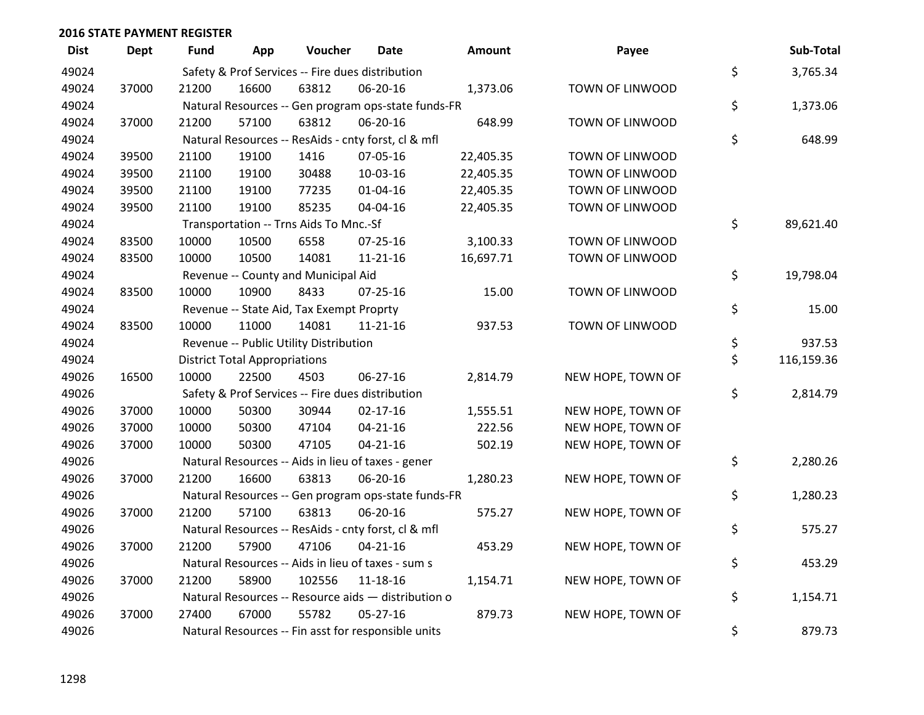| <b>Dist</b> | Dept  | <b>Fund</b> | App                                  | Voucher                                          | <b>Date</b>                                         | Amount    | Payee                  | Sub-Total        |
|-------------|-------|-------------|--------------------------------------|--------------------------------------------------|-----------------------------------------------------|-----------|------------------------|------------------|
| 49024       |       |             |                                      | Safety & Prof Services -- Fire dues distribution |                                                     |           |                        | \$<br>3,765.34   |
| 49024       | 37000 | 21200       | 16600                                | 63812                                            | 06-20-16                                            | 1,373.06  | TOWN OF LINWOOD        |                  |
| 49024       |       |             |                                      |                                                  | Natural Resources -- Gen program ops-state funds-FR |           |                        | \$<br>1,373.06   |
| 49024       | 37000 | 21200       | 57100                                | 63812                                            | 06-20-16                                            | 648.99    | TOWN OF LINWOOD        |                  |
| 49024       |       |             |                                      |                                                  | Natural Resources -- ResAids - cnty forst, cl & mfl |           |                        | \$<br>648.99     |
| 49024       | 39500 | 21100       | 19100                                | 1416                                             | 07-05-16                                            | 22,405.35 | TOWN OF LINWOOD        |                  |
| 49024       | 39500 | 21100       | 19100                                | 30488                                            | 10-03-16                                            | 22,405.35 | TOWN OF LINWOOD        |                  |
| 49024       | 39500 | 21100       | 19100                                | 77235                                            | $01 - 04 - 16$                                      | 22,405.35 | TOWN OF LINWOOD        |                  |
| 49024       | 39500 | 21100       | 19100                                | 85235                                            | 04-04-16                                            | 22,405.35 | TOWN OF LINWOOD        |                  |
| 49024       |       |             |                                      | Transportation -- Trns Aids To Mnc.-Sf           |                                                     |           |                        | \$<br>89,621.40  |
| 49024       | 83500 | 10000       | 10500                                | 6558                                             | 07-25-16                                            | 3,100.33  | TOWN OF LINWOOD        |                  |
| 49024       | 83500 | 10000       | 10500                                | 14081                                            | $11 - 21 - 16$                                      | 16,697.71 | TOWN OF LINWOOD        |                  |
| 49024       |       |             |                                      | Revenue -- County and Municipal Aid              |                                                     |           |                        | \$<br>19,798.04  |
| 49024       | 83500 | 10000       | 10900                                | 8433                                             | 07-25-16                                            | 15.00     | TOWN OF LINWOOD        |                  |
| 49024       |       |             |                                      | Revenue -- State Aid, Tax Exempt Proprty         |                                                     |           |                        | \$<br>15.00      |
| 49024       | 83500 | 10000       | 11000                                | 14081                                            | $11 - 21 - 16$                                      | 937.53    | <b>TOWN OF LINWOOD</b> |                  |
| 49024       |       |             |                                      | Revenue -- Public Utility Distribution           |                                                     |           |                        | \$<br>937.53     |
| 49024       |       |             | <b>District Total Appropriations</b> |                                                  |                                                     |           |                        | \$<br>116,159.36 |
| 49026       | 16500 | 10000       | 22500                                | 4503                                             | 06-27-16                                            | 2,814.79  | NEW HOPE, TOWN OF      |                  |
| 49026       |       |             |                                      | Safety & Prof Services -- Fire dues distribution |                                                     |           |                        | \$<br>2,814.79   |
| 49026       | 37000 | 10000       | 50300                                | 30944                                            | $02 - 17 - 16$                                      | 1,555.51  | NEW HOPE, TOWN OF      |                  |
| 49026       | 37000 | 10000       | 50300                                | 47104                                            | $04 - 21 - 16$                                      | 222.56    | NEW HOPE, TOWN OF      |                  |
| 49026       | 37000 | 10000       | 50300                                | 47105                                            | $04 - 21 - 16$                                      | 502.19    | NEW HOPE, TOWN OF      |                  |
| 49026       |       |             |                                      |                                                  | Natural Resources -- Aids in lieu of taxes - gener  |           |                        | \$<br>2,280.26   |
| 49026       | 37000 | 21200       | 16600                                | 63813                                            | 06-20-16                                            | 1,280.23  | NEW HOPE, TOWN OF      |                  |
| 49026       |       |             |                                      |                                                  | Natural Resources -- Gen program ops-state funds-FR |           |                        | \$<br>1,280.23   |
| 49026       | 37000 | 21200       | 57100                                | 63813                                            | 06-20-16                                            | 575.27    | NEW HOPE, TOWN OF      |                  |
| 49026       |       |             |                                      |                                                  | Natural Resources -- ResAids - cnty forst, cl & mfl |           |                        | \$<br>575.27     |
| 49026       | 37000 | 21200       | 57900                                | 47106                                            | $04 - 21 - 16$                                      | 453.29    | NEW HOPE, TOWN OF      |                  |
| 49026       |       |             |                                      |                                                  | Natural Resources -- Aids in lieu of taxes - sum s  |           |                        | \$<br>453.29     |
| 49026       | 37000 | 21200       | 58900                                | 102556                                           | 11-18-16                                            | 1,154.71  | NEW HOPE, TOWN OF      |                  |
| 49026       |       |             |                                      |                                                  | Natural Resources -- Resource aids - distribution o |           |                        | \$<br>1,154.71   |
| 49026       | 37000 | 27400       | 67000                                | 55782                                            | $05 - 27 - 16$                                      | 879.73    | NEW HOPE, TOWN OF      |                  |
| 49026       |       |             |                                      |                                                  | Natural Resources -- Fin asst for responsible units |           |                        | \$<br>879.73     |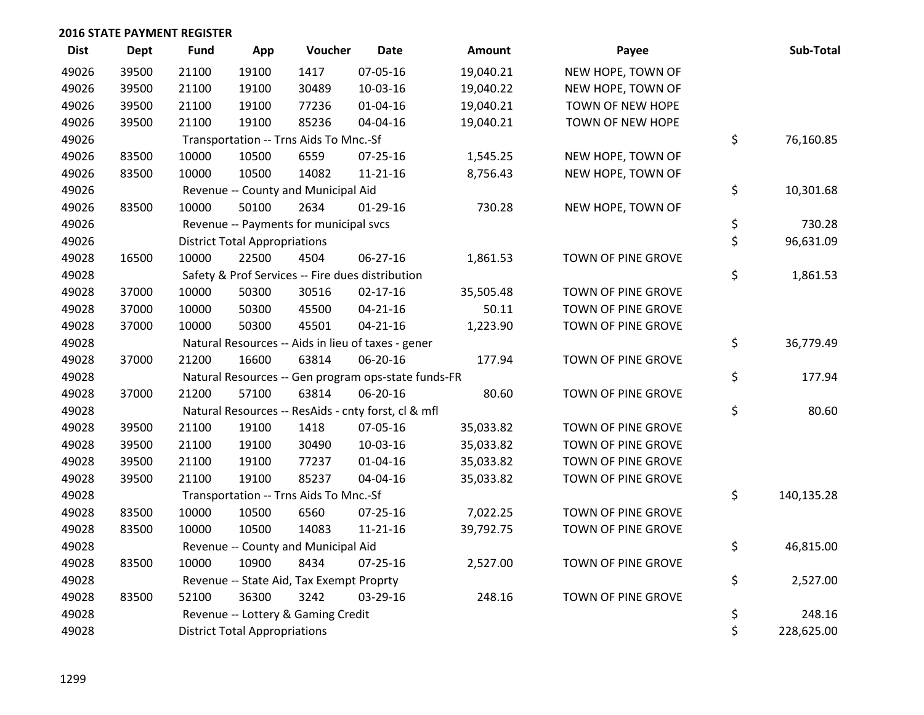| <b>Dist</b> | <b>Dept</b> | Fund  | App                                  | Voucher                                  | <b>Date</b>                                         | <b>Amount</b> | Payee              | Sub-Total        |
|-------------|-------------|-------|--------------------------------------|------------------------------------------|-----------------------------------------------------|---------------|--------------------|------------------|
| 49026       | 39500       | 21100 | 19100                                | 1417                                     | 07-05-16                                            | 19,040.21     | NEW HOPE, TOWN OF  |                  |
| 49026       | 39500       | 21100 | 19100                                | 30489                                    | 10-03-16                                            | 19,040.22     | NEW HOPE, TOWN OF  |                  |
| 49026       | 39500       | 21100 | 19100                                | 77236                                    | $01 - 04 - 16$                                      | 19,040.21     | TOWN OF NEW HOPE   |                  |
| 49026       | 39500       | 21100 | 19100                                | 85236                                    | 04-04-16                                            | 19,040.21     | TOWN OF NEW HOPE   |                  |
| 49026       |             |       |                                      | Transportation -- Trns Aids To Mnc.-Sf   |                                                     |               |                    | \$<br>76,160.85  |
| 49026       | 83500       | 10000 | 10500                                | 6559                                     | $07 - 25 - 16$                                      | 1,545.25      | NEW HOPE, TOWN OF  |                  |
| 49026       | 83500       | 10000 | 10500                                | 14082                                    | $11 - 21 - 16$                                      | 8,756.43      | NEW HOPE, TOWN OF  |                  |
| 49026       |             |       |                                      | Revenue -- County and Municipal Aid      |                                                     |               |                    | \$<br>10,301.68  |
| 49026       | 83500       | 10000 | 50100                                | 2634                                     | $01-29-16$                                          | 730.28        | NEW HOPE, TOWN OF  |                  |
| 49026       |             |       |                                      | Revenue -- Payments for municipal svcs   |                                                     |               |                    | \$<br>730.28     |
| 49026       |             |       | <b>District Total Appropriations</b> |                                          |                                                     |               |                    | \$<br>96,631.09  |
| 49028       | 16500       | 10000 | 22500                                | 4504                                     | 06-27-16                                            | 1,861.53      | TOWN OF PINE GROVE |                  |
| 49028       |             |       |                                      |                                          | Safety & Prof Services -- Fire dues distribution    |               |                    | \$<br>1,861.53   |
| 49028       | 37000       | 10000 | 50300                                | 30516                                    | $02 - 17 - 16$                                      | 35,505.48     | TOWN OF PINE GROVE |                  |
| 49028       | 37000       | 10000 | 50300                                | 45500                                    | $04 - 21 - 16$                                      | 50.11         | TOWN OF PINE GROVE |                  |
| 49028       | 37000       | 10000 | 50300                                | 45501                                    | $04 - 21 - 16$                                      | 1,223.90      | TOWN OF PINE GROVE |                  |
| 49028       |             |       |                                      |                                          | Natural Resources -- Aids in lieu of taxes - gener  |               |                    | \$<br>36,779.49  |
| 49028       | 37000       | 21200 | 16600                                | 63814                                    | 06-20-16                                            | 177.94        | TOWN OF PINE GROVE |                  |
| 49028       |             |       |                                      |                                          | Natural Resources -- Gen program ops-state funds-FR |               |                    | \$<br>177.94     |
| 49028       | 37000       | 21200 | 57100                                | 63814                                    | 06-20-16                                            | 80.60         | TOWN OF PINE GROVE |                  |
| 49028       |             |       |                                      |                                          | Natural Resources -- ResAids - cnty forst, cl & mfl |               |                    | \$<br>80.60      |
| 49028       | 39500       | 21100 | 19100                                | 1418                                     | 07-05-16                                            | 35,033.82     | TOWN OF PINE GROVE |                  |
| 49028       | 39500       | 21100 | 19100                                | 30490                                    | 10-03-16                                            | 35,033.82     | TOWN OF PINE GROVE |                  |
| 49028       | 39500       | 21100 | 19100                                | 77237                                    | $01 - 04 - 16$                                      | 35,033.82     | TOWN OF PINE GROVE |                  |
| 49028       | 39500       | 21100 | 19100                                | 85237                                    | 04-04-16                                            | 35,033.82     | TOWN OF PINE GROVE |                  |
| 49028       |             |       |                                      | Transportation -- Trns Aids To Mnc.-Sf   |                                                     |               |                    | \$<br>140,135.28 |
| 49028       | 83500       | 10000 | 10500                                | 6560                                     | 07-25-16                                            | 7,022.25      | TOWN OF PINE GROVE |                  |
| 49028       | 83500       | 10000 | 10500                                | 14083                                    | $11 - 21 - 16$                                      | 39,792.75     | TOWN OF PINE GROVE |                  |
| 49028       |             |       |                                      | Revenue -- County and Municipal Aid      |                                                     |               |                    | \$<br>46,815.00  |
| 49028       | 83500       | 10000 | 10900                                | 8434                                     | $07 - 25 - 16$                                      | 2,527.00      | TOWN OF PINE GROVE |                  |
| 49028       |             |       |                                      | Revenue -- State Aid, Tax Exempt Proprty |                                                     |               |                    | \$<br>2,527.00   |
| 49028       | 83500       | 52100 | 36300                                | 3242                                     | 03-29-16                                            | 248.16        | TOWN OF PINE GROVE |                  |
| 49028       |             |       |                                      | Revenue -- Lottery & Gaming Credit       |                                                     |               |                    | \$<br>248.16     |
| 49028       |             |       | <b>District Total Appropriations</b> |                                          |                                                     |               |                    | \$<br>228,625.00 |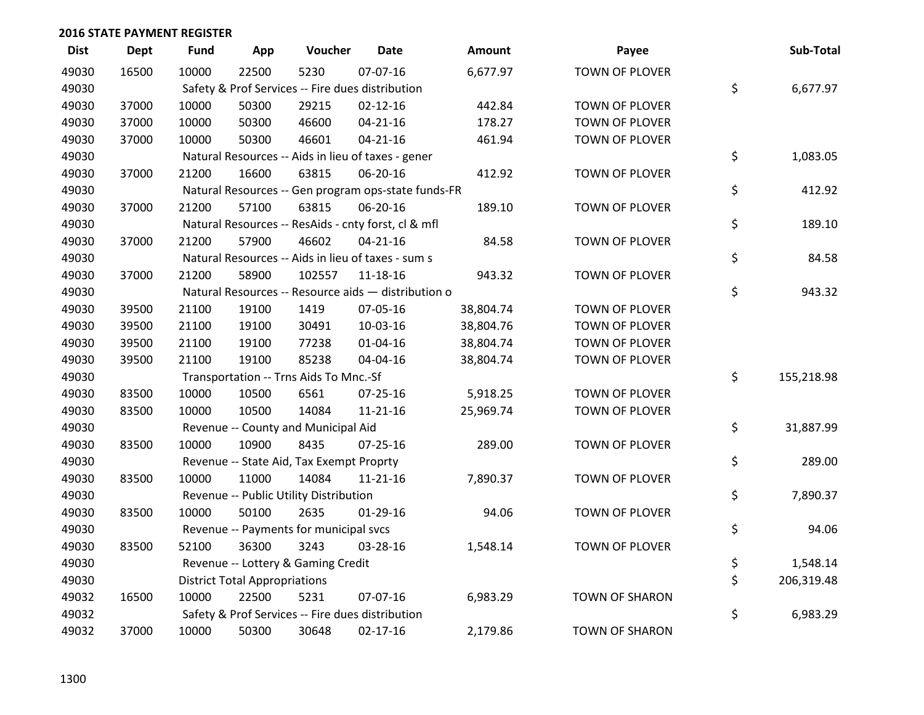| <b>Dist</b> | <b>Dept</b> | <b>Fund</b> | App                                  | Voucher                                             | <b>Date</b>    | Amount    | Payee                 | Sub-Total        |
|-------------|-------------|-------------|--------------------------------------|-----------------------------------------------------|----------------|-----------|-----------------------|------------------|
| 49030       | 16500       | 10000       | 22500                                | 5230                                                | 07-07-16       | 6,677.97  | <b>TOWN OF PLOVER</b> |                  |
| 49030       |             |             |                                      | Safety & Prof Services -- Fire dues distribution    |                |           |                       | \$<br>6,677.97   |
| 49030       | 37000       | 10000       | 50300                                | 29215                                               | $02 - 12 - 16$ | 442.84    | TOWN OF PLOVER        |                  |
| 49030       | 37000       | 10000       | 50300                                | 46600                                               | $04 - 21 - 16$ | 178.27    | TOWN OF PLOVER        |                  |
| 49030       | 37000       | 10000       | 50300                                | 46601                                               | $04 - 21 - 16$ | 461.94    | TOWN OF PLOVER        |                  |
| 49030       |             |             |                                      | Natural Resources -- Aids in lieu of taxes - gener  |                |           |                       | \$<br>1,083.05   |
| 49030       | 37000       | 21200       | 16600                                | 63815                                               | 06-20-16       | 412.92    | TOWN OF PLOVER        |                  |
| 49030       |             |             |                                      | Natural Resources -- Gen program ops-state funds-FR |                |           |                       | \$<br>412.92     |
| 49030       | 37000       | 21200       | 57100                                | 63815                                               | 06-20-16       | 189.10    | TOWN OF PLOVER        |                  |
| 49030       |             |             |                                      | Natural Resources -- ResAids - cnty forst, cl & mfl |                |           |                       | \$<br>189.10     |
| 49030       | 37000       | 21200       | 57900                                | 46602                                               | $04 - 21 - 16$ | 84.58     | TOWN OF PLOVER        |                  |
| 49030       |             |             |                                      | Natural Resources -- Aids in lieu of taxes - sum s  |                |           |                       | \$<br>84.58      |
| 49030       | 37000       | 21200       | 58900                                | 102557                                              | 11-18-16       | 943.32    | <b>TOWN OF PLOVER</b> |                  |
| 49030       |             |             |                                      | Natural Resources -- Resource aids - distribution o |                |           |                       | \$<br>943.32     |
| 49030       | 39500       | 21100       | 19100                                | 1419                                                | 07-05-16       | 38,804.74 | TOWN OF PLOVER        |                  |
| 49030       | 39500       | 21100       | 19100                                | 30491                                               | 10-03-16       | 38,804.76 | TOWN OF PLOVER        |                  |
| 49030       | 39500       | 21100       | 19100                                | 77238                                               | $01 - 04 - 16$ | 38,804.74 | TOWN OF PLOVER        |                  |
| 49030       | 39500       | 21100       | 19100                                | 85238                                               | 04-04-16       | 38,804.74 | TOWN OF PLOVER        |                  |
| 49030       |             |             |                                      | Transportation -- Trns Aids To Mnc.-Sf              |                |           |                       | \$<br>155,218.98 |
| 49030       | 83500       | 10000       | 10500                                | 6561                                                | $07 - 25 - 16$ | 5,918.25  | TOWN OF PLOVER        |                  |
| 49030       | 83500       | 10000       | 10500                                | 14084                                               | $11 - 21 - 16$ | 25,969.74 | TOWN OF PLOVER        |                  |
| 49030       |             |             |                                      | Revenue -- County and Municipal Aid                 |                |           |                       | \$<br>31,887.99  |
| 49030       | 83500       | 10000       | 10900                                | 8435                                                | $07 - 25 - 16$ | 289.00    | TOWN OF PLOVER        |                  |
| 49030       |             |             |                                      | Revenue -- State Aid, Tax Exempt Proprty            |                |           |                       | \$<br>289.00     |
| 49030       | 83500       | 10000       | 11000                                | 14084                                               | $11 - 21 - 16$ | 7,890.37  | <b>TOWN OF PLOVER</b> |                  |
| 49030       |             |             |                                      | Revenue -- Public Utility Distribution              |                |           |                       | \$<br>7,890.37   |
| 49030       | 83500       | 10000       | 50100                                | 2635                                                | 01-29-16       | 94.06     | TOWN OF PLOVER        |                  |
| 49030       |             |             |                                      | Revenue -- Payments for municipal svcs              |                |           |                       | \$<br>94.06      |
| 49030       | 83500       | 52100       | 36300                                | 3243                                                | 03-28-16       | 1,548.14  | TOWN OF PLOVER        |                  |
| 49030       |             |             |                                      | Revenue -- Lottery & Gaming Credit                  |                |           |                       | \$<br>1,548.14   |
| 49030       |             |             | <b>District Total Appropriations</b> |                                                     |                |           |                       | \$<br>206,319.48 |
| 49032       | 16500       | 10000       | 22500                                | 5231                                                | 07-07-16       | 6,983.29  | <b>TOWN OF SHARON</b> |                  |
| 49032       |             |             |                                      | Safety & Prof Services -- Fire dues distribution    |                |           |                       | \$<br>6,983.29   |
| 49032       | 37000       | 10000       | 50300                                | 30648                                               | $02 - 17 - 16$ | 2,179.86  | <b>TOWN OF SHARON</b> |                  |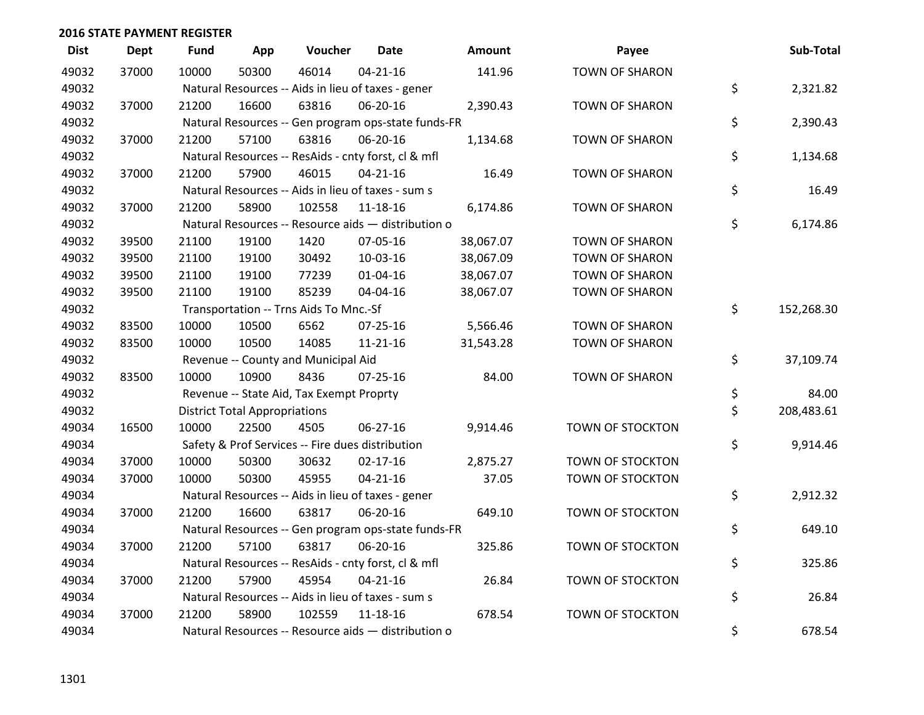| <b>Dist</b> | <b>Dept</b> | <b>Fund</b> | App                                  | Voucher                                             | <b>Date</b>    | Amount    | Payee                   | Sub-Total        |
|-------------|-------------|-------------|--------------------------------------|-----------------------------------------------------|----------------|-----------|-------------------------|------------------|
| 49032       | 37000       | 10000       | 50300                                | 46014                                               | $04 - 21 - 16$ | 141.96    | <b>TOWN OF SHARON</b>   |                  |
| 49032       |             |             |                                      | Natural Resources -- Aids in lieu of taxes - gener  |                |           |                         | \$<br>2,321.82   |
| 49032       | 37000       | 21200       | 16600                                | 63816                                               | 06-20-16       | 2,390.43  | <b>TOWN OF SHARON</b>   |                  |
| 49032       |             |             |                                      | Natural Resources -- Gen program ops-state funds-FR |                |           |                         | \$<br>2,390.43   |
| 49032       | 37000       | 21200       | 57100                                | 63816                                               | 06-20-16       | 1,134.68  | <b>TOWN OF SHARON</b>   |                  |
| 49032       |             |             |                                      | Natural Resources -- ResAids - cnty forst, cl & mfl |                |           |                         | \$<br>1,134.68   |
| 49032       | 37000       | 21200       | 57900                                | 46015                                               | $04 - 21 - 16$ | 16.49     | <b>TOWN OF SHARON</b>   |                  |
| 49032       |             |             |                                      | Natural Resources -- Aids in lieu of taxes - sum s  |                |           |                         | \$<br>16.49      |
| 49032       | 37000       | 21200       | 58900                                | 102558                                              | $11 - 18 - 16$ | 6,174.86  | <b>TOWN OF SHARON</b>   |                  |
| 49032       |             |             |                                      | Natural Resources -- Resource aids - distribution o |                |           |                         | \$<br>6,174.86   |
| 49032       | 39500       | 21100       | 19100                                | 1420                                                | 07-05-16       | 38,067.07 | <b>TOWN OF SHARON</b>   |                  |
| 49032       | 39500       | 21100       | 19100                                | 30492                                               | 10-03-16       | 38,067.09 | <b>TOWN OF SHARON</b>   |                  |
| 49032       | 39500       | 21100       | 19100                                | 77239                                               | $01 - 04 - 16$ | 38,067.07 | <b>TOWN OF SHARON</b>   |                  |
| 49032       | 39500       | 21100       | 19100                                | 85239                                               | 04-04-16       | 38,067.07 | <b>TOWN OF SHARON</b>   |                  |
| 49032       |             |             |                                      | Transportation -- Trns Aids To Mnc.-Sf              |                |           |                         | \$<br>152,268.30 |
| 49032       | 83500       | 10000       | 10500                                | 6562                                                | 07-25-16       | 5,566.46  | <b>TOWN OF SHARON</b>   |                  |
| 49032       | 83500       | 10000       | 10500                                | 14085                                               | 11-21-16       | 31,543.28 | <b>TOWN OF SHARON</b>   |                  |
| 49032       |             |             |                                      | Revenue -- County and Municipal Aid                 |                |           |                         | \$<br>37,109.74  |
| 49032       | 83500       | 10000       | 10900                                | 8436                                                | $07 - 25 - 16$ | 84.00     | <b>TOWN OF SHARON</b>   |                  |
| 49032       |             |             |                                      | Revenue -- State Aid, Tax Exempt Proprty            |                |           |                         | \$<br>84.00      |
| 49032       |             |             | <b>District Total Appropriations</b> |                                                     |                |           |                         | \$<br>208,483.61 |
| 49034       | 16500       | 10000       | 22500                                | 4505                                                | $06 - 27 - 16$ | 9,914.46  | TOWN OF STOCKTON        |                  |
| 49034       |             |             |                                      | Safety & Prof Services -- Fire dues distribution    |                |           |                         | \$<br>9,914.46   |
| 49034       | 37000       | 10000       | 50300                                | 30632                                               | $02 - 17 - 16$ | 2,875.27  | TOWN OF STOCKTON        |                  |
| 49034       | 37000       | 10000       | 50300                                | 45955                                               | $04 - 21 - 16$ | 37.05     | TOWN OF STOCKTON        |                  |
| 49034       |             |             |                                      | Natural Resources -- Aids in lieu of taxes - gener  |                |           |                         | \$<br>2,912.32   |
| 49034       | 37000       | 21200       | 16600                                | 63817                                               | 06-20-16       | 649.10    | TOWN OF STOCKTON        |                  |
| 49034       |             |             |                                      | Natural Resources -- Gen program ops-state funds-FR |                |           |                         | \$<br>649.10     |
| 49034       | 37000       | 21200       | 57100                                | 63817                                               | 06-20-16       | 325.86    | <b>TOWN OF STOCKTON</b> |                  |
| 49034       |             |             |                                      | Natural Resources -- ResAids - cnty forst, cl & mfl |                |           |                         | \$<br>325.86     |
| 49034       | 37000       | 21200       | 57900                                | 45954                                               | $04 - 21 - 16$ | 26.84     | TOWN OF STOCKTON        |                  |
| 49034       |             |             |                                      | Natural Resources -- Aids in lieu of taxes - sum s  |                |           |                         | \$<br>26.84      |
| 49034       | 37000       | 21200       | 58900                                | 102559                                              | $11 - 18 - 16$ | 678.54    | <b>TOWN OF STOCKTON</b> |                  |
| 49034       |             |             |                                      | Natural Resources -- Resource aids - distribution o |                |           |                         | \$<br>678.54     |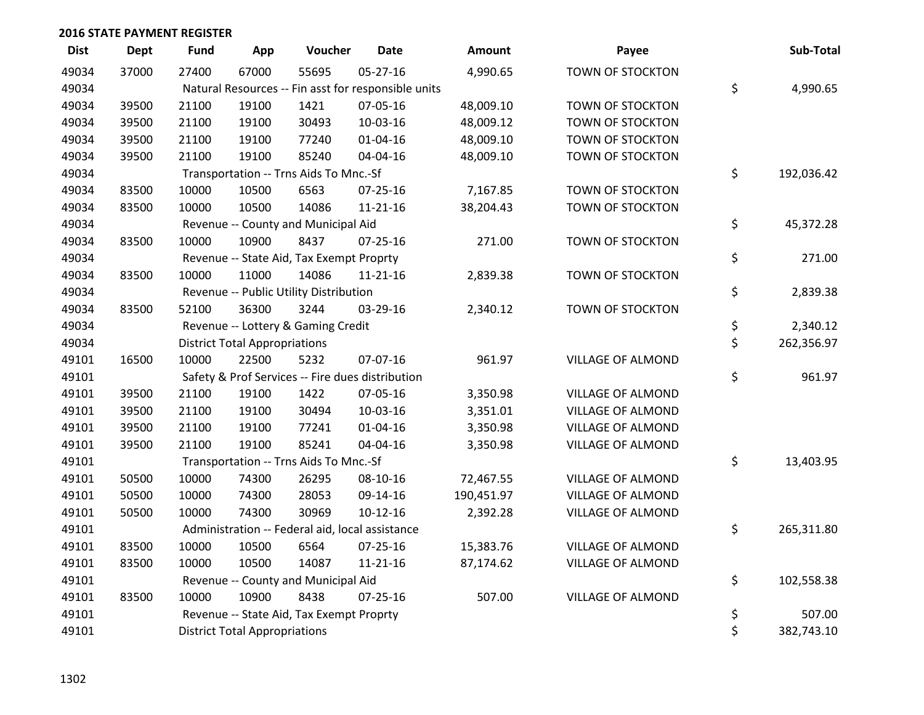| <b>Dist</b> | <b>Dept</b> | Fund  | App                                  | Voucher                                         | <b>Date</b>                                         | <b>Amount</b> | Payee                    | Sub-Total        |
|-------------|-------------|-------|--------------------------------------|-------------------------------------------------|-----------------------------------------------------|---------------|--------------------------|------------------|
| 49034       | 37000       | 27400 | 67000                                | 55695                                           | 05-27-16                                            | 4,990.65      | TOWN OF STOCKTON         |                  |
| 49034       |             |       |                                      |                                                 | Natural Resources -- Fin asst for responsible units |               |                          | \$<br>4,990.65   |
| 49034       | 39500       | 21100 | 19100                                | 1421                                            | 07-05-16                                            | 48,009.10     | TOWN OF STOCKTON         |                  |
| 49034       | 39500       | 21100 | 19100                                | 30493                                           | 10-03-16                                            | 48,009.12     | TOWN OF STOCKTON         |                  |
| 49034       | 39500       | 21100 | 19100                                | 77240                                           | $01 - 04 - 16$                                      | 48,009.10     | TOWN OF STOCKTON         |                  |
| 49034       | 39500       | 21100 | 19100                                | 85240                                           | 04-04-16                                            | 48,009.10     | TOWN OF STOCKTON         |                  |
| 49034       |             |       |                                      | Transportation -- Trns Aids To Mnc.-Sf          |                                                     |               |                          | \$<br>192,036.42 |
| 49034       | 83500       | 10000 | 10500                                | 6563                                            | $07 - 25 - 16$                                      | 7,167.85      | TOWN OF STOCKTON         |                  |
| 49034       | 83500       | 10000 | 10500                                | 14086                                           | 11-21-16                                            | 38,204.43     | TOWN OF STOCKTON         |                  |
| 49034       |             |       |                                      | Revenue -- County and Municipal Aid             |                                                     |               |                          | \$<br>45,372.28  |
| 49034       | 83500       | 10000 | 10900                                | 8437                                            | $07 - 25 - 16$                                      | 271.00        | TOWN OF STOCKTON         |                  |
| 49034       |             |       |                                      | Revenue -- State Aid, Tax Exempt Proprty        |                                                     |               |                          | \$<br>271.00     |
| 49034       | 83500       | 10000 | 11000                                | 14086                                           | $11 - 21 - 16$                                      | 2,839.38      | TOWN OF STOCKTON         |                  |
| 49034       |             |       |                                      | Revenue -- Public Utility Distribution          |                                                     |               |                          | \$<br>2,839.38   |
| 49034       | 83500       | 52100 | 36300                                | 3244                                            | 03-29-16                                            | 2,340.12      | <b>TOWN OF STOCKTON</b>  |                  |
| 49034       |             |       |                                      | Revenue -- Lottery & Gaming Credit              |                                                     |               |                          | \$<br>2,340.12   |
| 49034       |             |       | <b>District Total Appropriations</b> |                                                 |                                                     |               |                          | \$<br>262,356.97 |
| 49101       | 16500       | 10000 | 22500                                | 5232                                            | 07-07-16                                            | 961.97        | <b>VILLAGE OF ALMOND</b> |                  |
| 49101       |             |       |                                      |                                                 | Safety & Prof Services -- Fire dues distribution    |               |                          | \$<br>961.97     |
| 49101       | 39500       | 21100 | 19100                                | 1422                                            | 07-05-16                                            | 3,350.98      | <b>VILLAGE OF ALMOND</b> |                  |
| 49101       | 39500       | 21100 | 19100                                | 30494                                           | 10-03-16                                            | 3,351.01      | <b>VILLAGE OF ALMOND</b> |                  |
| 49101       | 39500       | 21100 | 19100                                | 77241                                           | $01 - 04 - 16$                                      | 3,350.98      | <b>VILLAGE OF ALMOND</b> |                  |
| 49101       | 39500       | 21100 | 19100                                | 85241                                           | 04-04-16                                            | 3,350.98      | <b>VILLAGE OF ALMOND</b> |                  |
| 49101       |             |       |                                      | Transportation -- Trns Aids To Mnc.-Sf          |                                                     |               |                          | \$<br>13,403.95  |
| 49101       | 50500       | 10000 | 74300                                | 26295                                           | 08-10-16                                            | 72,467.55     | <b>VILLAGE OF ALMOND</b> |                  |
| 49101       | 50500       | 10000 | 74300                                | 28053                                           | 09-14-16                                            | 190,451.97    | <b>VILLAGE OF ALMOND</b> |                  |
| 49101       | 50500       | 10000 | 74300                                | 30969                                           | $10-12-16$                                          | 2,392.28      | <b>VILLAGE OF ALMOND</b> |                  |
| 49101       |             |       |                                      | Administration -- Federal aid, local assistance |                                                     |               |                          | \$<br>265,311.80 |
| 49101       | 83500       | 10000 | 10500                                | 6564                                            | $07 - 25 - 16$                                      | 15,383.76     | <b>VILLAGE OF ALMOND</b> |                  |
| 49101       | 83500       | 10000 | 10500                                | 14087                                           | 11-21-16                                            | 87,174.62     | VILLAGE OF ALMOND        |                  |
| 49101       |             |       |                                      | Revenue -- County and Municipal Aid             |                                                     |               |                          | \$<br>102,558.38 |
| 49101       | 83500       | 10000 | 10900                                | 8438                                            | $07 - 25 - 16$                                      | 507.00        | <b>VILLAGE OF ALMOND</b> |                  |
| 49101       |             |       |                                      | Revenue -- State Aid, Tax Exempt Proprty        |                                                     |               |                          | \$<br>507.00     |
| 49101       |             |       | <b>District Total Appropriations</b> |                                                 |                                                     |               |                          | \$<br>382,743.10 |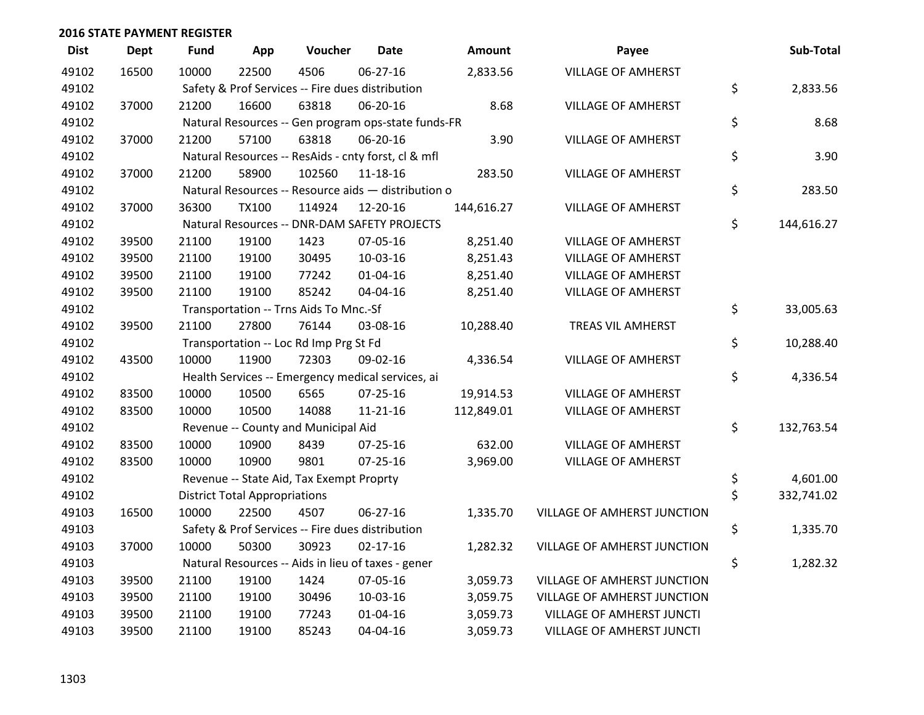| <b>Dist</b> | <b>Dept</b> | <b>Fund</b> | App                                  | Voucher                                  | <b>Date</b>                                         | Amount     | Payee                       | Sub-Total        |
|-------------|-------------|-------------|--------------------------------------|------------------------------------------|-----------------------------------------------------|------------|-----------------------------|------------------|
| 49102       | 16500       | 10000       | 22500                                | 4506                                     | 06-27-16                                            | 2,833.56   | <b>VILLAGE OF AMHERST</b>   |                  |
| 49102       |             |             |                                      |                                          | Safety & Prof Services -- Fire dues distribution    |            |                             | \$<br>2,833.56   |
| 49102       | 37000       | 21200       | 16600                                | 63818                                    | 06-20-16                                            | 8.68       | <b>VILLAGE OF AMHERST</b>   |                  |
| 49102       |             |             |                                      |                                          | Natural Resources -- Gen program ops-state funds-FR |            |                             | \$<br>8.68       |
| 49102       | 37000       | 21200       | 57100                                | 63818                                    | 06-20-16                                            | 3.90       | <b>VILLAGE OF AMHERST</b>   |                  |
| 49102       |             |             |                                      |                                          | Natural Resources -- ResAids - cnty forst, cl & mfl |            |                             | \$<br>3.90       |
| 49102       | 37000       | 21200       | 58900                                | 102560                                   | $11 - 18 - 16$                                      | 283.50     | <b>VILLAGE OF AMHERST</b>   |                  |
| 49102       |             |             |                                      |                                          | Natural Resources -- Resource aids - distribution o |            |                             | \$<br>283.50     |
| 49102       | 37000       | 36300       | <b>TX100</b>                         | 114924                                   | 12-20-16                                            | 144,616.27 | <b>VILLAGE OF AMHERST</b>   |                  |
| 49102       |             |             |                                      |                                          | Natural Resources -- DNR-DAM SAFETY PROJECTS        |            |                             | \$<br>144,616.27 |
| 49102       | 39500       | 21100       | 19100                                | 1423                                     | 07-05-16                                            | 8,251.40   | <b>VILLAGE OF AMHERST</b>   |                  |
| 49102       | 39500       | 21100       | 19100                                | 30495                                    | 10-03-16                                            | 8,251.43   | <b>VILLAGE OF AMHERST</b>   |                  |
| 49102       | 39500       | 21100       | 19100                                | 77242                                    | 01-04-16                                            | 8,251.40   | <b>VILLAGE OF AMHERST</b>   |                  |
| 49102       | 39500       | 21100       | 19100                                | 85242                                    | 04-04-16                                            | 8,251.40   | <b>VILLAGE OF AMHERST</b>   |                  |
| 49102       |             |             |                                      | Transportation -- Trns Aids To Mnc.-Sf   |                                                     |            |                             | \$<br>33,005.63  |
| 49102       | 39500       | 21100       | 27800                                | 76144                                    | 03-08-16                                            | 10,288.40  | <b>TREAS VIL AMHERST</b>    |                  |
| 49102       |             |             |                                      | Transportation -- Loc Rd Imp Prg St Fd   |                                                     |            |                             | \$<br>10,288.40  |
| 49102       | 43500       | 10000       | 11900                                | 72303                                    | 09-02-16                                            | 4,336.54   | <b>VILLAGE OF AMHERST</b>   |                  |
| 49102       |             |             |                                      |                                          | Health Services -- Emergency medical services, ai   |            |                             | \$<br>4,336.54   |
| 49102       | 83500       | 10000       | 10500                                | 6565                                     | $07 - 25 - 16$                                      | 19,914.53  | <b>VILLAGE OF AMHERST</b>   |                  |
| 49102       | 83500       | 10000       | 10500                                | 14088                                    | $11 - 21 - 16$                                      | 112,849.01 | <b>VILLAGE OF AMHERST</b>   |                  |
| 49102       |             |             |                                      | Revenue -- County and Municipal Aid      |                                                     |            |                             | \$<br>132,763.54 |
| 49102       | 83500       | 10000       | 10900                                | 8439                                     | $07 - 25 - 16$                                      | 632.00     | <b>VILLAGE OF AMHERST</b>   |                  |
| 49102       | 83500       | 10000       | 10900                                | 9801                                     | 07-25-16                                            | 3,969.00   | <b>VILLAGE OF AMHERST</b>   |                  |
| 49102       |             |             |                                      | Revenue -- State Aid, Tax Exempt Proprty |                                                     |            |                             | \$<br>4,601.00   |
| 49102       |             |             | <b>District Total Appropriations</b> |                                          |                                                     |            |                             | \$<br>332,741.02 |
| 49103       | 16500       | 10000       | 22500                                | 4507                                     | 06-27-16                                            | 1,335.70   | VILLAGE OF AMHERST JUNCTION |                  |
| 49103       |             |             |                                      |                                          | Safety & Prof Services -- Fire dues distribution    |            |                             | \$<br>1,335.70   |
| 49103       | 37000       | 10000       | 50300                                | 30923                                    | $02 - 17 - 16$                                      | 1,282.32   | VILLAGE OF AMHERST JUNCTION |                  |
| 49103       |             |             |                                      |                                          | Natural Resources -- Aids in lieu of taxes - gener  |            |                             | \$<br>1,282.32   |
| 49103       | 39500       | 21100       | 19100                                | 1424                                     | 07-05-16                                            | 3,059.73   | VILLAGE OF AMHERST JUNCTION |                  |
| 49103       | 39500       | 21100       | 19100                                | 30496                                    | 10-03-16                                            | 3,059.75   | VILLAGE OF AMHERST JUNCTION |                  |
| 49103       | 39500       | 21100       | 19100                                | 77243                                    | $01 - 04 - 16$                                      | 3,059.73   | VILLAGE OF AMHERST JUNCTI   |                  |
| 49103       | 39500       | 21100       | 19100                                | 85243                                    | 04-04-16                                            | 3,059.73   | VILLAGE OF AMHERST JUNCTI   |                  |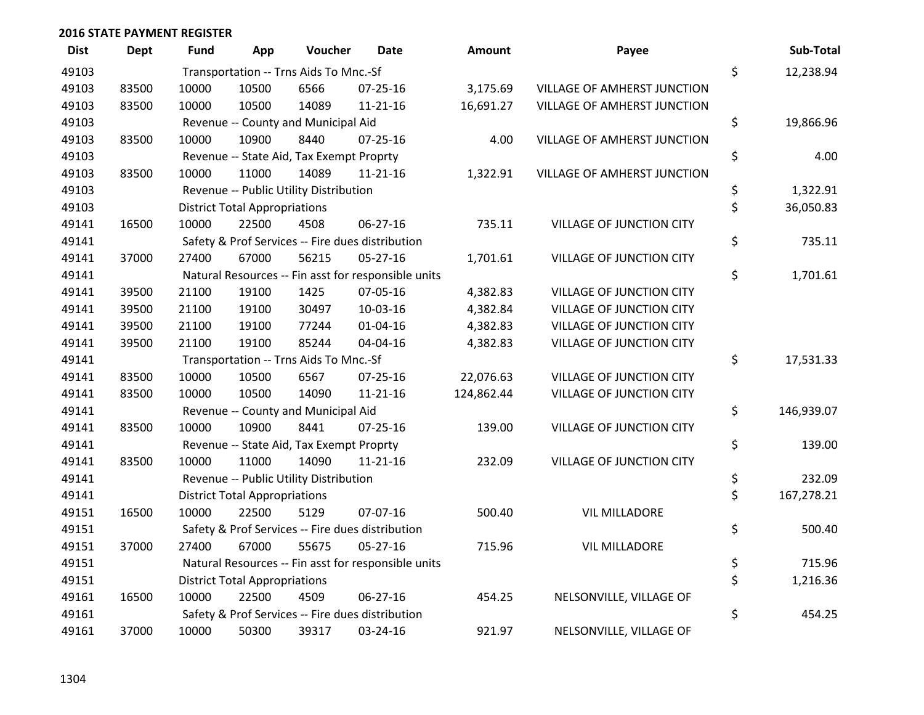| <b>Dist</b> | <b>Dept</b> | Fund  | App                                  | Voucher                                  | <b>Date</b>                                         | Amount     | Payee                           | Sub-Total        |
|-------------|-------------|-------|--------------------------------------|------------------------------------------|-----------------------------------------------------|------------|---------------------------------|------------------|
| 49103       |             |       |                                      | Transportation -- Trns Aids To Mnc.-Sf   |                                                     |            |                                 | \$<br>12,238.94  |
| 49103       | 83500       | 10000 | 10500                                | 6566                                     | $07 - 25 - 16$                                      | 3,175.69   | VILLAGE OF AMHERST JUNCTION     |                  |
| 49103       | 83500       | 10000 | 10500                                | 14089                                    | $11 - 21 - 16$                                      | 16,691.27  | VILLAGE OF AMHERST JUNCTION     |                  |
| 49103       |             |       |                                      | Revenue -- County and Municipal Aid      |                                                     |            |                                 | \$<br>19,866.96  |
| 49103       | 83500       | 10000 | 10900                                | 8440                                     | $07 - 25 - 16$                                      | 4.00       | VILLAGE OF AMHERST JUNCTION     |                  |
| 49103       |             |       |                                      | Revenue -- State Aid, Tax Exempt Proprty |                                                     |            |                                 | \$<br>4.00       |
| 49103       | 83500       | 10000 | 11000                                | 14089                                    | 11-21-16                                            | 1,322.91   | VILLAGE OF AMHERST JUNCTION     |                  |
| 49103       |             |       |                                      | Revenue -- Public Utility Distribution   |                                                     |            |                                 | \$<br>1,322.91   |
| 49103       |             |       | <b>District Total Appropriations</b> |                                          |                                                     |            |                                 | \$<br>36,050.83  |
| 49141       | 16500       | 10000 | 22500                                | 4508                                     | 06-27-16                                            | 735.11     | <b>VILLAGE OF JUNCTION CITY</b> |                  |
| 49141       |             |       |                                      |                                          | Safety & Prof Services -- Fire dues distribution    |            |                                 | \$<br>735.11     |
| 49141       | 37000       | 27400 | 67000                                | 56215                                    | $05 - 27 - 16$                                      | 1,701.61   | VILLAGE OF JUNCTION CITY        |                  |
| 49141       |             |       |                                      |                                          | Natural Resources -- Fin asst for responsible units |            |                                 | \$<br>1,701.61   |
| 49141       | 39500       | 21100 | 19100                                | 1425                                     | 07-05-16                                            | 4,382.83   | <b>VILLAGE OF JUNCTION CITY</b> |                  |
| 49141       | 39500       | 21100 | 19100                                | 30497                                    | 10-03-16                                            | 4,382.84   | VILLAGE OF JUNCTION CITY        |                  |
| 49141       | 39500       | 21100 | 19100                                | 77244                                    | $01 - 04 - 16$                                      | 4,382.83   | <b>VILLAGE OF JUNCTION CITY</b> |                  |
| 49141       | 39500       | 21100 | 19100                                | 85244                                    | 04-04-16                                            | 4,382.83   | VILLAGE OF JUNCTION CITY        |                  |
| 49141       |             |       |                                      | Transportation -- Trns Aids To Mnc.-Sf   |                                                     |            |                                 | \$<br>17,531.33  |
| 49141       | 83500       | 10000 | 10500                                | 6567                                     | $07 - 25 - 16$                                      | 22,076.63  | <b>VILLAGE OF JUNCTION CITY</b> |                  |
| 49141       | 83500       | 10000 | 10500                                | 14090                                    | $11 - 21 - 16$                                      | 124,862.44 | VILLAGE OF JUNCTION CITY        |                  |
| 49141       |             |       |                                      | Revenue -- County and Municipal Aid      |                                                     |            |                                 | \$<br>146,939.07 |
| 49141       | 83500       | 10000 | 10900                                | 8441                                     | $07 - 25 - 16$                                      | 139.00     | <b>VILLAGE OF JUNCTION CITY</b> |                  |
| 49141       |             |       |                                      | Revenue -- State Aid, Tax Exempt Proprty |                                                     |            |                                 | \$<br>139.00     |
| 49141       | 83500       | 10000 | 11000                                | 14090                                    | $11 - 21 - 16$                                      | 232.09     | <b>VILLAGE OF JUNCTION CITY</b> |                  |
| 49141       |             |       |                                      | Revenue -- Public Utility Distribution   |                                                     |            |                                 | \$<br>232.09     |
| 49141       |             |       | <b>District Total Appropriations</b> |                                          |                                                     |            |                                 | \$<br>167,278.21 |
| 49151       | 16500       | 10000 | 22500                                | 5129                                     | 07-07-16                                            | 500.40     | <b>VIL MILLADORE</b>            |                  |
| 49151       |             |       |                                      |                                          | Safety & Prof Services -- Fire dues distribution    |            |                                 | \$<br>500.40     |
| 49151       | 37000       | 27400 | 67000                                | 55675                                    | $05 - 27 - 16$                                      | 715.96     | <b>VIL MILLADORE</b>            |                  |
| 49151       |             |       |                                      |                                          | Natural Resources -- Fin asst for responsible units |            |                                 | \$<br>715.96     |
| 49151       |             |       | <b>District Total Appropriations</b> |                                          |                                                     |            |                                 | \$<br>1,216.36   |
| 49161       | 16500       | 10000 | 22500                                | 4509                                     | 06-27-16                                            | 454.25     | NELSONVILLE, VILLAGE OF         |                  |
| 49161       |             |       |                                      |                                          | Safety & Prof Services -- Fire dues distribution    |            |                                 | \$<br>454.25     |
| 49161       | 37000       | 10000 | 50300                                | 39317                                    | 03-24-16                                            | 921.97     | NELSONVILLE, VILLAGE OF         |                  |

| mount   | Payee                              |          | Sub-Total  |
|---------|------------------------------------|----------|------------|
|         |                                    | \$       | 12,238.94  |
| ,175.69 | VILLAGE OF AMHERST JUNCTION        |          |            |
| ,691.27 | <b>VILLAGE OF AMHERST JUNCTION</b> |          |            |
|         |                                    | \$       | 19,866.96  |
| 4.00    | <b>VILLAGE OF AMHERST JUNCTION</b> |          |            |
|         |                                    | \$       | 4.00       |
| ,322.91 | <b>VILLAGE OF AMHERST JUNCTION</b> |          |            |
|         |                                    | \$<br>\$ | 1,322.91   |
|         |                                    |          | 36,050.83  |
| 735.11  | <b>VILLAGE OF JUNCTION CITY</b>    |          |            |
|         |                                    | \$       | 735.11     |
| ,701.61 | VILLAGE OF JUNCTION CITY           | \$       | 1,701.61   |
| ,382.83 | VILLAGE OF JUNCTION CITY           |          |            |
| ,382.84 | <b>VILLAGE OF JUNCTION CITY</b>    |          |            |
| ,382.83 | VILLAGE OF JUNCTION CITY           |          |            |
| ,382.83 | <b>VILLAGE OF JUNCTION CITY</b>    |          |            |
|         |                                    | \$       | 17,531.33  |
| ,076.63 | <b>VILLAGE OF JUNCTION CITY</b>    |          |            |
| ,862.44 | <b>VILLAGE OF JUNCTION CITY</b>    |          |            |
|         |                                    | \$       | 146,939.07 |
| 139.00  | <b>VILLAGE OF JUNCTION CITY</b>    |          |            |
|         |                                    | \$       | 139.00     |
| 232.09  | <b>VILLAGE OF JUNCTION CITY</b>    |          |            |
|         |                                    | \$       | 232.09     |
|         |                                    | \$       | 167,278.21 |
| 500.40  | <b>VIL MILLADORE</b>               |          |            |
|         |                                    | \$       | 500.40     |
| 715.96  | <b>VIL MILLADORE</b>               |          |            |
|         |                                    | \$       | 715.96     |
|         |                                    | \$       | 1,216.36   |
| 454.25  | NELSONVILLE, VILLAGE OF            |          |            |
|         |                                    | \$       | 454.25     |
| 921.97  | NELSONVILLE, VILLAGE OF            |          |            |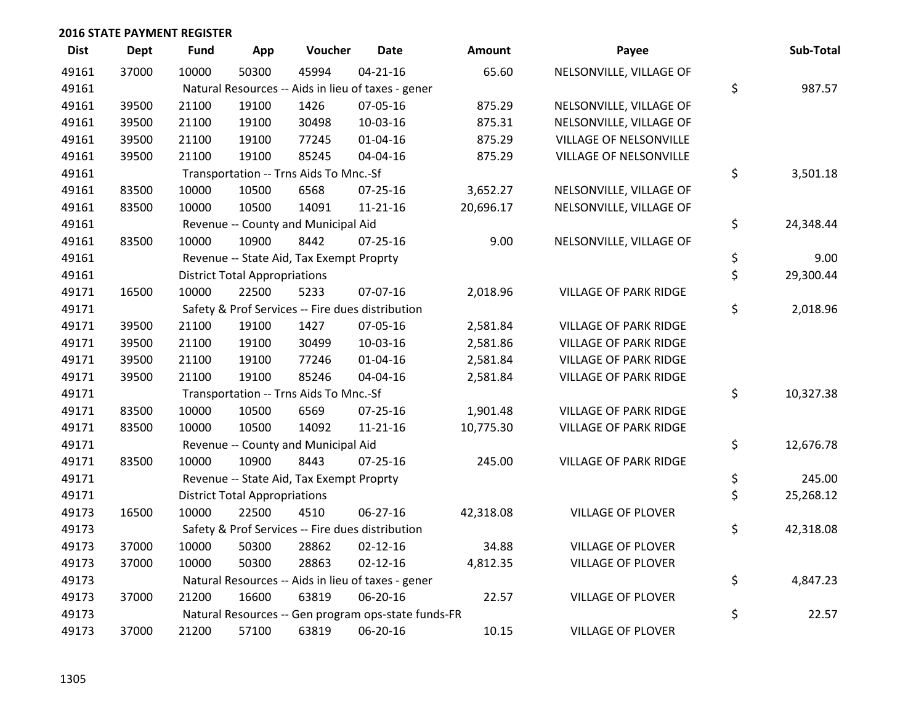| <b>Dist</b> | <b>Dept</b> | <b>Fund</b> | App                                  | Voucher                                  | <b>Date</b>                                         | Amount    | Payee                         | Sub-Total       |
|-------------|-------------|-------------|--------------------------------------|------------------------------------------|-----------------------------------------------------|-----------|-------------------------------|-----------------|
| 49161       | 37000       | 10000       | 50300                                | 45994                                    | $04 - 21 - 16$                                      | 65.60     | NELSONVILLE, VILLAGE OF       |                 |
| 49161       |             |             |                                      |                                          | Natural Resources -- Aids in lieu of taxes - gener  |           |                               | \$<br>987.57    |
| 49161       | 39500       | 21100       | 19100                                | 1426                                     | 07-05-16                                            | 875.29    | NELSONVILLE, VILLAGE OF       |                 |
| 49161       | 39500       | 21100       | 19100                                | 30498                                    | 10-03-16                                            | 875.31    | NELSONVILLE, VILLAGE OF       |                 |
| 49161       | 39500       | 21100       | 19100                                | 77245                                    | $01 - 04 - 16$                                      | 875.29    | <b>VILLAGE OF NELSONVILLE</b> |                 |
| 49161       | 39500       | 21100       | 19100                                | 85245                                    | 04-04-16                                            | 875.29    | VILLAGE OF NELSONVILLE        |                 |
| 49161       |             |             |                                      | Transportation -- Trns Aids To Mnc.-Sf   |                                                     |           |                               | \$<br>3,501.18  |
| 49161       | 83500       | 10000       | 10500                                | 6568                                     | 07-25-16                                            | 3,652.27  | NELSONVILLE, VILLAGE OF       |                 |
| 49161       | 83500       | 10000       | 10500                                | 14091                                    | $11 - 21 - 16$                                      | 20,696.17 | NELSONVILLE, VILLAGE OF       |                 |
| 49161       |             |             |                                      | Revenue -- County and Municipal Aid      |                                                     |           |                               | \$<br>24,348.44 |
| 49161       | 83500       | 10000       | 10900                                | 8442                                     | $07 - 25 - 16$                                      | 9.00      | NELSONVILLE, VILLAGE OF       |                 |
| 49161       |             |             |                                      | Revenue -- State Aid, Tax Exempt Proprty |                                                     |           |                               | \$<br>9.00      |
| 49161       |             |             | <b>District Total Appropriations</b> |                                          |                                                     |           |                               | \$<br>29,300.44 |
| 49171       | 16500       | 10000       | 22500                                | 5233                                     | 07-07-16                                            | 2,018.96  | <b>VILLAGE OF PARK RIDGE</b>  |                 |
| 49171       |             |             |                                      |                                          | Safety & Prof Services -- Fire dues distribution    |           |                               | \$<br>2,018.96  |
| 49171       | 39500       | 21100       | 19100                                | 1427                                     | 07-05-16                                            | 2,581.84  | <b>VILLAGE OF PARK RIDGE</b>  |                 |
| 49171       | 39500       | 21100       | 19100                                | 30499                                    | 10-03-16                                            | 2,581.86  | <b>VILLAGE OF PARK RIDGE</b>  |                 |
| 49171       | 39500       | 21100       | 19100                                | 77246                                    | $01 - 04 - 16$                                      | 2,581.84  | <b>VILLAGE OF PARK RIDGE</b>  |                 |
| 49171       | 39500       | 21100       | 19100                                | 85246                                    | 04-04-16                                            | 2,581.84  | <b>VILLAGE OF PARK RIDGE</b>  |                 |
| 49171       |             |             |                                      | Transportation -- Trns Aids To Mnc.-Sf   |                                                     |           |                               | \$<br>10,327.38 |
| 49171       | 83500       | 10000       | 10500                                | 6569                                     | $07 - 25 - 16$                                      | 1,901.48  | <b>VILLAGE OF PARK RIDGE</b>  |                 |
| 49171       | 83500       | 10000       | 10500                                | 14092                                    | $11 - 21 - 16$                                      | 10,775.30 | <b>VILLAGE OF PARK RIDGE</b>  |                 |
| 49171       |             |             |                                      | Revenue -- County and Municipal Aid      |                                                     |           |                               | \$<br>12,676.78 |
| 49171       | 83500       | 10000       | 10900                                | 8443                                     | $07 - 25 - 16$                                      | 245.00    | <b>VILLAGE OF PARK RIDGE</b>  |                 |
| 49171       |             |             |                                      | Revenue -- State Aid, Tax Exempt Proprty |                                                     |           |                               | \$<br>245.00    |
| 49171       |             |             | <b>District Total Appropriations</b> |                                          |                                                     |           |                               | \$<br>25,268.12 |
| 49173       | 16500       | 10000       | 22500                                | 4510                                     | 06-27-16                                            | 42,318.08 | <b>VILLAGE OF PLOVER</b>      |                 |
| 49173       |             |             |                                      |                                          | Safety & Prof Services -- Fire dues distribution    |           |                               | \$<br>42,318.08 |
| 49173       | 37000       | 10000       | 50300                                | 28862                                    | $02 - 12 - 16$                                      | 34.88     | <b>VILLAGE OF PLOVER</b>      |                 |
| 49173       | 37000       | 10000       | 50300                                | 28863                                    | $02 - 12 - 16$                                      | 4,812.35  | <b>VILLAGE OF PLOVER</b>      |                 |
| 49173       |             |             |                                      |                                          | Natural Resources -- Aids in lieu of taxes - gener  |           |                               | \$<br>4,847.23  |
| 49173       | 37000       | 21200       | 16600                                | 63819                                    | 06-20-16                                            | 22.57     | <b>VILLAGE OF PLOVER</b>      |                 |
| 49173       |             |             |                                      |                                          | Natural Resources -- Gen program ops-state funds-FR |           |                               | \$<br>22.57     |
| 49173       | 37000       | 21200       | 57100                                | 63819                                    | 06-20-16                                            | 10.15     | <b>VILLAGE OF PLOVER</b>      |                 |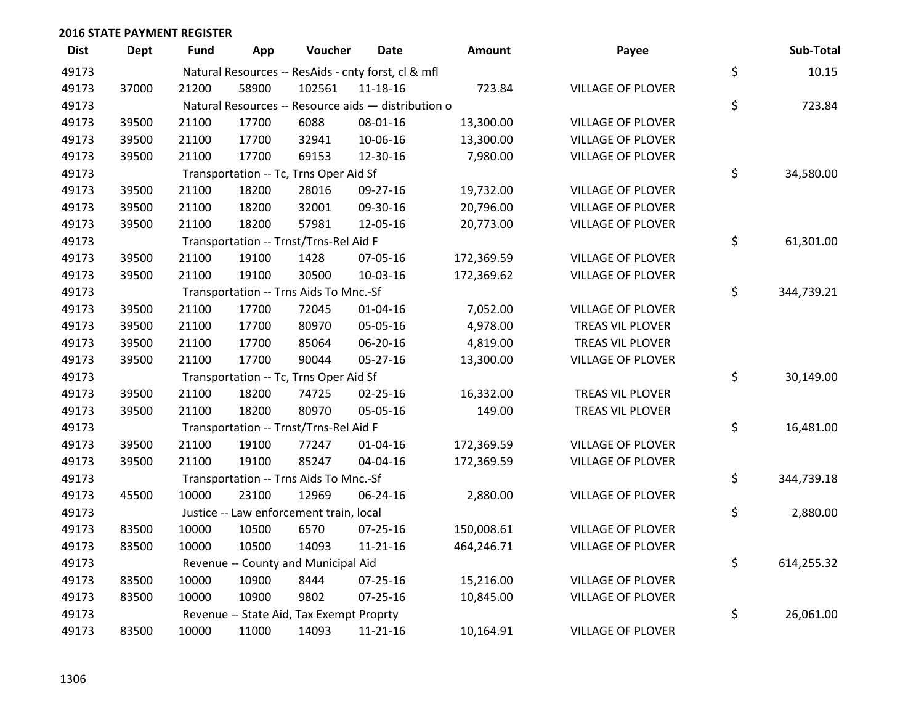| <b>Dist</b> | <b>Dept</b> | Fund  | App   | Voucher                                  | <b>Date</b>                                         | Amount     | Payee                    | Sub-Total        |
|-------------|-------------|-------|-------|------------------------------------------|-----------------------------------------------------|------------|--------------------------|------------------|
| 49173       |             |       |       |                                          | Natural Resources -- ResAids - cnty forst, cl & mfl |            |                          | \$<br>10.15      |
| 49173       | 37000       | 21200 | 58900 | 102561                                   | 11-18-16                                            | 723.84     | <b>VILLAGE OF PLOVER</b> |                  |
| 49173       |             |       |       |                                          | Natural Resources -- Resource aids - distribution o |            |                          | \$<br>723.84     |
| 49173       | 39500       | 21100 | 17700 | 6088                                     | 08-01-16                                            | 13,300.00  | <b>VILLAGE OF PLOVER</b> |                  |
| 49173       | 39500       | 21100 | 17700 | 32941                                    | 10-06-16                                            | 13,300.00  | <b>VILLAGE OF PLOVER</b> |                  |
| 49173       | 39500       | 21100 | 17700 | 69153                                    | 12-30-16                                            | 7,980.00   | <b>VILLAGE OF PLOVER</b> |                  |
| 49173       |             |       |       | Transportation -- Tc, Trns Oper Aid Sf   |                                                     |            |                          | \$<br>34,580.00  |
| 49173       | 39500       | 21100 | 18200 | 28016                                    | 09-27-16                                            | 19,732.00  | <b>VILLAGE OF PLOVER</b> |                  |
| 49173       | 39500       | 21100 | 18200 | 32001                                    | 09-30-16                                            | 20,796.00  | <b>VILLAGE OF PLOVER</b> |                  |
| 49173       | 39500       | 21100 | 18200 | 57981                                    | 12-05-16                                            | 20,773.00  | <b>VILLAGE OF PLOVER</b> |                  |
| 49173       |             |       |       | Transportation -- Trnst/Trns-Rel Aid F   |                                                     |            |                          | \$<br>61,301.00  |
| 49173       | 39500       | 21100 | 19100 | 1428                                     | 07-05-16                                            | 172,369.59 | <b>VILLAGE OF PLOVER</b> |                  |
| 49173       | 39500       | 21100 | 19100 | 30500                                    | 10-03-16                                            | 172,369.62 | <b>VILLAGE OF PLOVER</b> |                  |
| 49173       |             |       |       | Transportation -- Trns Aids To Mnc.-Sf   |                                                     |            |                          | \$<br>344,739.21 |
| 49173       | 39500       | 21100 | 17700 | 72045                                    | $01 - 04 - 16$                                      | 7,052.00   | <b>VILLAGE OF PLOVER</b> |                  |
| 49173       | 39500       | 21100 | 17700 | 80970                                    | 05-05-16                                            | 4,978.00   | TREAS VIL PLOVER         |                  |
| 49173       | 39500       | 21100 | 17700 | 85064                                    | 06-20-16                                            | 4,819.00   | TREAS VIL PLOVER         |                  |
| 49173       | 39500       | 21100 | 17700 | 90044                                    | 05-27-16                                            | 13,300.00  | <b>VILLAGE OF PLOVER</b> |                  |
| 49173       |             |       |       | Transportation -- Tc, Trns Oper Aid Sf   |                                                     |            |                          | \$<br>30,149.00  |
| 49173       | 39500       | 21100 | 18200 | 74725                                    | 02-25-16                                            | 16,332.00  | TREAS VIL PLOVER         |                  |
| 49173       | 39500       | 21100 | 18200 | 80970                                    | 05-05-16                                            | 149.00     | <b>TREAS VIL PLOVER</b>  |                  |
| 49173       |             |       |       | Transportation -- Trnst/Trns-Rel Aid F   |                                                     |            |                          | \$<br>16,481.00  |
| 49173       | 39500       | 21100 | 19100 | 77247                                    | $01 - 04 - 16$                                      | 172,369.59 | <b>VILLAGE OF PLOVER</b> |                  |
| 49173       | 39500       | 21100 | 19100 | 85247                                    | 04-04-16                                            | 172,369.59 | <b>VILLAGE OF PLOVER</b> |                  |
| 49173       |             |       |       | Transportation -- Trns Aids To Mnc.-Sf   |                                                     |            |                          | \$<br>344,739.18 |
| 49173       | 45500       | 10000 | 23100 | 12969                                    | 06-24-16                                            | 2,880.00   | <b>VILLAGE OF PLOVER</b> |                  |
| 49173       |             |       |       | Justice -- Law enforcement train, local  |                                                     |            |                          | \$<br>2,880.00   |
| 49173       | 83500       | 10000 | 10500 | 6570                                     | 07-25-16                                            | 150,008.61 | <b>VILLAGE OF PLOVER</b> |                  |
| 49173       | 83500       | 10000 | 10500 | 14093                                    | $11 - 21 - 16$                                      | 464,246.71 | <b>VILLAGE OF PLOVER</b> |                  |
| 49173       |             |       |       | Revenue -- County and Municipal Aid      |                                                     |            |                          | \$<br>614,255.32 |
| 49173       | 83500       | 10000 | 10900 | 8444                                     | 07-25-16                                            | 15,216.00  | <b>VILLAGE OF PLOVER</b> |                  |
| 49173       | 83500       | 10000 | 10900 | 9802                                     | 07-25-16                                            | 10,845.00  | <b>VILLAGE OF PLOVER</b> |                  |
| 49173       |             |       |       | Revenue -- State Aid, Tax Exempt Proprty |                                                     |            |                          | \$<br>26,061.00  |
| 49173       | 83500       | 10000 | 11000 | 14093                                    | 11-21-16                                            | 10,164.91  | <b>VILLAGE OF PLOVER</b> |                  |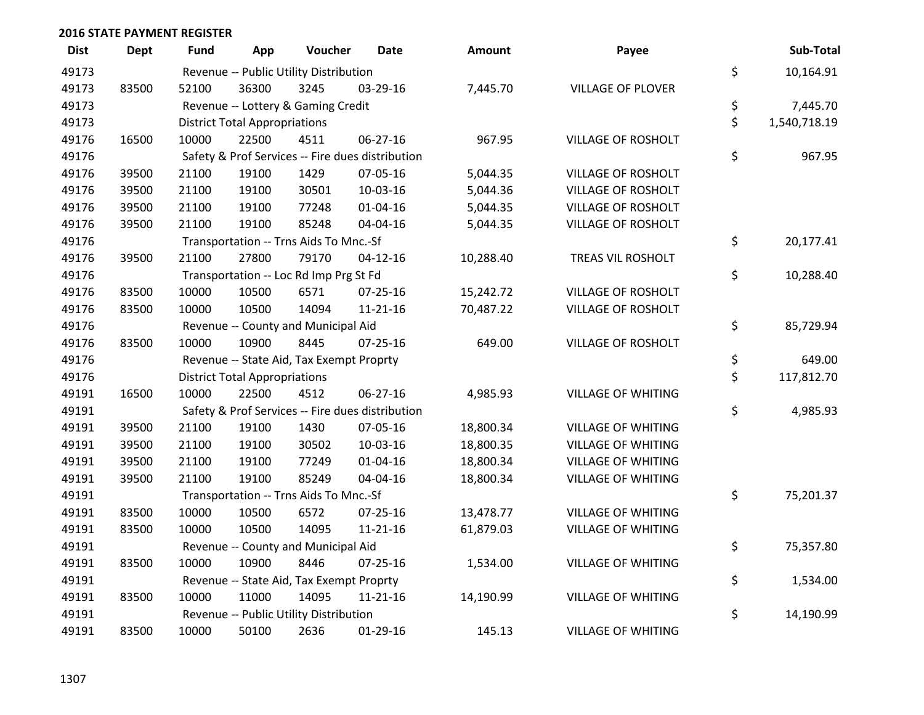| <b>Dist</b> | <b>Dept</b> | <b>Fund</b> | App                                  | Voucher                                  | <b>Date</b>                                      | <b>Amount</b> | Payee                     | Sub-Total          |
|-------------|-------------|-------------|--------------------------------------|------------------------------------------|--------------------------------------------------|---------------|---------------------------|--------------------|
| 49173       |             |             |                                      | Revenue -- Public Utility Distribution   |                                                  |               |                           | \$<br>10,164.91    |
| 49173       | 83500       | 52100       | 36300                                | 3245                                     | 03-29-16                                         | 7,445.70      | <b>VILLAGE OF PLOVER</b>  |                    |
| 49173       |             |             |                                      | Revenue -- Lottery & Gaming Credit       |                                                  |               |                           | \$<br>7,445.70     |
| 49173       |             |             | <b>District Total Appropriations</b> |                                          |                                                  |               |                           | \$<br>1,540,718.19 |
| 49176       | 16500       | 10000       | 22500                                | 4511                                     | 06-27-16                                         | 967.95        | <b>VILLAGE OF ROSHOLT</b> |                    |
| 49176       |             |             |                                      |                                          | Safety & Prof Services -- Fire dues distribution |               |                           | \$<br>967.95       |
| 49176       | 39500       | 21100       | 19100                                | 1429                                     | 07-05-16                                         | 5,044.35      | <b>VILLAGE OF ROSHOLT</b> |                    |
| 49176       | 39500       | 21100       | 19100                                | 30501                                    | 10-03-16                                         | 5,044.36      | <b>VILLAGE OF ROSHOLT</b> |                    |
| 49176       | 39500       | 21100       | 19100                                | 77248                                    | $01 - 04 - 16$                                   | 5,044.35      | <b>VILLAGE OF ROSHOLT</b> |                    |
| 49176       | 39500       | 21100       | 19100                                | 85248                                    | 04-04-16                                         | 5,044.35      | VILLAGE OF ROSHOLT        |                    |
| 49176       |             |             |                                      | Transportation -- Trns Aids To Mnc.-Sf   |                                                  |               |                           | \$<br>20,177.41    |
| 49176       | 39500       | 21100       | 27800                                | 79170                                    | $04 - 12 - 16$                                   | 10,288.40     | TREAS VIL ROSHOLT         |                    |
| 49176       |             |             |                                      | Transportation -- Loc Rd Imp Prg St Fd   |                                                  |               |                           | \$<br>10,288.40    |
| 49176       | 83500       | 10000       | 10500                                | 6571                                     | $07 - 25 - 16$                                   | 15,242.72     | <b>VILLAGE OF ROSHOLT</b> |                    |
| 49176       | 83500       | 10000       | 10500                                | 14094                                    | $11 - 21 - 16$                                   | 70,487.22     | VILLAGE OF ROSHOLT        |                    |
| 49176       |             |             |                                      | Revenue -- County and Municipal Aid      |                                                  |               |                           | \$<br>85,729.94    |
| 49176       | 83500       | 10000       | 10900                                | 8445                                     | $07 - 25 - 16$                                   | 649.00        | <b>VILLAGE OF ROSHOLT</b> |                    |
| 49176       |             |             |                                      | Revenue -- State Aid, Tax Exempt Proprty |                                                  |               |                           | \$<br>649.00       |
| 49176       |             |             | <b>District Total Appropriations</b> |                                          |                                                  |               |                           | \$<br>117,812.70   |
| 49191       | 16500       | 10000       | 22500                                | 4512                                     | 06-27-16                                         | 4,985.93      | <b>VILLAGE OF WHITING</b> |                    |
| 49191       |             |             |                                      |                                          | Safety & Prof Services -- Fire dues distribution |               |                           | \$<br>4,985.93     |
| 49191       | 39500       | 21100       | 19100                                | 1430                                     | 07-05-16                                         | 18,800.34     | <b>VILLAGE OF WHITING</b> |                    |
| 49191       | 39500       | 21100       | 19100                                | 30502                                    | 10-03-16                                         | 18,800.35     | <b>VILLAGE OF WHITING</b> |                    |
| 49191       | 39500       | 21100       | 19100                                | 77249                                    | $01 - 04 - 16$                                   | 18,800.34     | <b>VILLAGE OF WHITING</b> |                    |
| 49191       | 39500       | 21100       | 19100                                | 85249                                    | 04-04-16                                         | 18,800.34     | VILLAGE OF WHITING        |                    |
| 49191       |             |             |                                      | Transportation -- Trns Aids To Mnc.-Sf   |                                                  |               |                           | \$<br>75,201.37    |
| 49191       | 83500       | 10000       | 10500                                | 6572                                     | $07 - 25 - 16$                                   | 13,478.77     | <b>VILLAGE OF WHITING</b> |                    |
| 49191       | 83500       | 10000       | 10500                                | 14095                                    | $11 - 21 - 16$                                   | 61,879.03     | <b>VILLAGE OF WHITING</b> |                    |
| 49191       |             |             |                                      | Revenue -- County and Municipal Aid      |                                                  |               |                           | \$<br>75,357.80    |
| 49191       | 83500       | 10000       | 10900                                | 8446                                     | $07 - 25 - 16$                                   | 1,534.00      | <b>VILLAGE OF WHITING</b> |                    |
| 49191       |             |             |                                      | Revenue -- State Aid, Tax Exempt Proprty |                                                  |               |                           | \$<br>1,534.00     |
| 49191       | 83500       | 10000       | 11000                                | 14095                                    | $11 - 21 - 16$                                   | 14,190.99     | <b>VILLAGE OF WHITING</b> |                    |
| 49191       |             |             |                                      | Revenue -- Public Utility Distribution   |                                                  |               |                           | \$<br>14,190.99    |
| 49191       | 83500       | 10000       | 50100                                | 2636                                     | $01-29-16$                                       | 145.13        | <b>VILLAGE OF WHITING</b> |                    |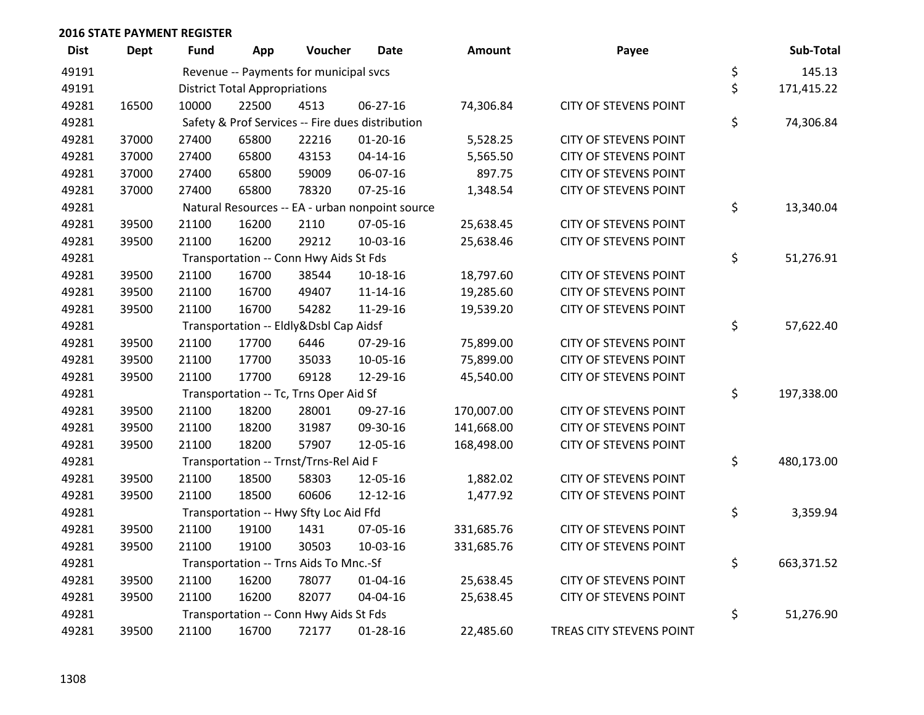| <b>Dist</b> | <b>Dept</b> | Fund                                   | App                                              | Voucher                                | Date                                            | <b>Amount</b> | Payee                        |    | Sub-Total  |
|-------------|-------------|----------------------------------------|--------------------------------------------------|----------------------------------------|-------------------------------------------------|---------------|------------------------------|----|------------|
| 49191       |             |                                        |                                                  | Revenue -- Payments for municipal svcs |                                                 |               |                              | \$ | 145.13     |
| 49191       |             | <b>District Total Appropriations</b>   | \$                                               | 171,415.22                             |                                                 |               |                              |    |            |
| 49281       | 16500       | 10000                                  | 22500                                            | 4513                                   | 06-27-16                                        | 74,306.84     | <b>CITY OF STEVENS POINT</b> |    |            |
| 49281       |             |                                        | Safety & Prof Services -- Fire dues distribution |                                        |                                                 |               |                              |    |            |
| 49281       | 37000       | 27400                                  | 65800                                            | 22216                                  | $01 - 20 - 16$                                  | 5,528.25      | <b>CITY OF STEVENS POINT</b> |    |            |
| 49281       | 37000       | 27400                                  | 65800                                            | 43153                                  | 04-14-16                                        | 5,565.50      | <b>CITY OF STEVENS POINT</b> |    |            |
| 49281       | 37000       | 27400                                  | 65800                                            | 59009                                  | 06-07-16                                        | 897.75        | <b>CITY OF STEVENS POINT</b> |    |            |
| 49281       | 37000       | 27400                                  | 65800                                            | 78320                                  | $07 - 25 - 16$                                  | 1,348.54      | <b>CITY OF STEVENS POINT</b> |    |            |
| 49281       |             |                                        |                                                  |                                        | Natural Resources -- EA - urban nonpoint source |               |                              | \$ | 13,340.04  |
| 49281       | 39500       | 21100                                  | 16200                                            | 2110                                   | 07-05-16                                        | 25,638.45     | <b>CITY OF STEVENS POINT</b> |    |            |
| 49281       | 39500       | 21100                                  | 16200                                            | 29212                                  | 10-03-16                                        | 25,638.46     | <b>CITY OF STEVENS POINT</b> |    |            |
| 49281       |             |                                        |                                                  | Transportation -- Conn Hwy Aids St Fds |                                                 |               |                              | \$ | 51,276.91  |
| 49281       | 39500       | 21100                                  | 16700                                            | 38544                                  | $10-18-16$                                      | 18,797.60     | <b>CITY OF STEVENS POINT</b> |    |            |
| 49281       | 39500       | 21100                                  | 16700                                            | 49407                                  | $11 - 14 - 16$                                  | 19,285.60     | <b>CITY OF STEVENS POINT</b> |    |            |
| 49281       | 39500       | 21100                                  | 16700                                            | 54282                                  | 11-29-16                                        | 19,539.20     | <b>CITY OF STEVENS POINT</b> |    |            |
| 49281       |             |                                        |                                                  | Transportation -- Eldly&Dsbl Cap Aidsf |                                                 |               |                              | \$ | 57,622.40  |
| 49281       | 39500       | 21100                                  | 17700                                            | 6446                                   | 07-29-16                                        | 75,899.00     | <b>CITY OF STEVENS POINT</b> |    |            |
| 49281       | 39500       | 21100                                  | 17700                                            | 35033                                  | 10-05-16                                        | 75,899.00     | <b>CITY OF STEVENS POINT</b> |    |            |
| 49281       | 39500       | 21100                                  | 17700                                            | 69128                                  | 12-29-16                                        | 45,540.00     | <b>CITY OF STEVENS POINT</b> |    |            |
| 49281       |             |                                        | Transportation -- Tc, Trns Oper Aid Sf           |                                        |                                                 |               |                              |    |            |
| 49281       | 39500       | 21100                                  | 18200                                            | 28001                                  | 09-27-16                                        | 170,007.00    | <b>CITY OF STEVENS POINT</b> |    |            |
| 49281       | 39500       | 21100                                  | 18200                                            | 31987                                  | 09-30-16                                        | 141,668.00    | <b>CITY OF STEVENS POINT</b> |    |            |
| 49281       | 39500       | 21100                                  | 18200                                            | 57907                                  | 12-05-16                                        | 168,498.00    | <b>CITY OF STEVENS POINT</b> |    |            |
| 49281       |             | Transportation -- Trnst/Trns-Rel Aid F |                                                  |                                        |                                                 |               |                              |    | 480,173.00 |
| 49281       | 39500       | 21100                                  | 18500                                            | 58303                                  | 12-05-16                                        | 1,882.02      | <b>CITY OF STEVENS POINT</b> |    |            |
| 49281       | 39500       | 21100                                  | 18500                                            | 60606                                  | $12 - 12 - 16$                                  | 1,477.92      | <b>CITY OF STEVENS POINT</b> |    |            |
| 49281       |             |                                        | Transportation -- Hwy Sfty Loc Aid Ffd           |                                        |                                                 |               |                              |    | 3,359.94   |
| 49281       | 39500       | 21100                                  | 19100                                            | 1431                                   | 07-05-16                                        | 331,685.76    | <b>CITY OF STEVENS POINT</b> |    |            |
| 49281       | 39500       | 21100                                  | 19100                                            | 30503                                  | 10-03-16                                        | 331,685.76    | <b>CITY OF STEVENS POINT</b> |    |            |
| 49281       |             |                                        | Transportation -- Trns Aids To Mnc.-Sf           |                                        |                                                 |               |                              |    |            |
| 49281       | 39500       | 21100                                  | 16200                                            | 78077                                  | $01 - 04 - 16$                                  | 25,638.45     | <b>CITY OF STEVENS POINT</b> | \$ |            |
| 49281       | 39500       | 21100                                  | 16200                                            | 82077                                  | 04-04-16                                        | 25,638.45     | <b>CITY OF STEVENS POINT</b> |    |            |
| 49281       |             | Transportation -- Conn Hwy Aids St Fds |                                                  |                                        |                                                 |               |                              |    | 51,276.90  |
| 49281       | 39500       | 21100                                  | 16700                                            | 72177                                  | 01-28-16                                        | 22,485.60     | TREAS CITY STEVENS POINT     | \$ |            |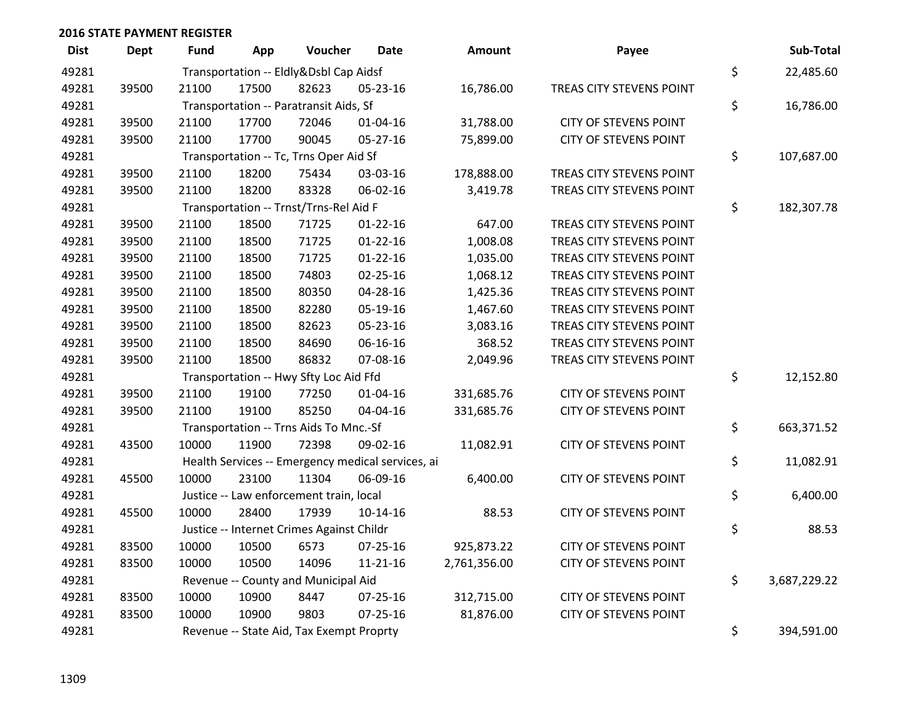| <b>Dist</b> | <b>Dept</b> | <b>Fund</b>                                       | App                                    | Voucher                                | <b>Date</b>    | Amount       | Payee                        |    | Sub-Total    |
|-------------|-------------|---------------------------------------------------|----------------------------------------|----------------------------------------|----------------|--------------|------------------------------|----|--------------|
| 49281       |             | Transportation -- Eldly&Dsbl Cap Aidsf            |                                        |                                        |                |              |                              |    | 22,485.60    |
| 49281       | 39500       | 21100                                             | 17500                                  | 82623                                  | 05-23-16       | 16,786.00    | TREAS CITY STEVENS POINT     | \$ |              |
| 49281       |             |                                                   | Transportation -- Paratransit Aids, Sf |                                        |                |              |                              |    |              |
| 49281       | 39500       | 21100                                             | 17700                                  | 72046                                  | $01 - 04 - 16$ | 31,788.00    | <b>CITY OF STEVENS POINT</b> | \$ |              |
| 49281       | 39500       | 21100                                             | 17700                                  | 90045                                  | 05-27-16       | 75,899.00    | <b>CITY OF STEVENS POINT</b> |    |              |
| 49281       |             |                                                   | Transportation -- Tc, Trns Oper Aid Sf |                                        |                |              |                              |    |              |
| 49281       | 39500       | 21100                                             | 18200                                  | 75434                                  | 03-03-16       | 178,888.00   | TREAS CITY STEVENS POINT     |    |              |
| 49281       | 39500       | 21100                                             | 18200                                  | 83328                                  | 06-02-16       | 3,419.78     | TREAS CITY STEVENS POINT     |    |              |
| 49281       |             |                                                   |                                        | Transportation -- Trnst/Trns-Rel Aid F |                |              |                              | \$ | 182,307.78   |
| 49281       | 39500       | 21100                                             | 18500                                  | 71725                                  | $01 - 22 - 16$ | 647.00       | TREAS CITY STEVENS POINT     |    |              |
| 49281       | 39500       | 21100                                             | 18500                                  | 71725                                  | $01 - 22 - 16$ | 1,008.08     | TREAS CITY STEVENS POINT     |    |              |
| 49281       | 39500       | 21100                                             | 18500                                  | 71725                                  | $01 - 22 - 16$ | 1,035.00     | TREAS CITY STEVENS POINT     |    |              |
| 49281       | 39500       | 21100                                             | 18500                                  | 74803                                  | 02-25-16       | 1,068.12     | TREAS CITY STEVENS POINT     |    |              |
| 49281       | 39500       | 21100                                             | 18500                                  | 80350                                  | 04-28-16       | 1,425.36     | TREAS CITY STEVENS POINT     |    |              |
| 49281       | 39500       | 21100                                             | 18500                                  | 82280                                  | 05-19-16       | 1,467.60     | TREAS CITY STEVENS POINT     |    |              |
| 49281       | 39500       | 21100                                             | 18500                                  | 82623                                  | 05-23-16       | 3,083.16     | TREAS CITY STEVENS POINT     |    |              |
| 49281       | 39500       | 21100                                             | 18500                                  | 84690                                  | 06-16-16       | 368.52       | TREAS CITY STEVENS POINT     |    |              |
| 49281       | 39500       | 21100                                             | 18500                                  | 86832                                  | 07-08-16       | 2,049.96     | TREAS CITY STEVENS POINT     |    |              |
| 49281       |             | Transportation -- Hwy Sfty Loc Aid Ffd            | \$                                     | 12,152.80                              |                |              |                              |    |              |
| 49281       | 39500       | 21100                                             | 19100                                  | 77250                                  | $01 - 04 - 16$ | 331,685.76   | <b>CITY OF STEVENS POINT</b> |    |              |
| 49281       | 39500       | 21100                                             | 19100                                  | 85250                                  | 04-04-16       | 331,685.76   | <b>CITY OF STEVENS POINT</b> |    |              |
| 49281       |             |                                                   |                                        | Transportation -- Trns Aids To Mnc.-Sf |                |              |                              | \$ | 663,371.52   |
| 49281       | 43500       | 10000                                             | 11900                                  | 72398                                  | 09-02-16       | 11,082.91    | <b>CITY OF STEVENS POINT</b> |    |              |
| 49281       |             | Health Services -- Emergency medical services, ai |                                        |                                        |                |              |                              |    | 11,082.91    |
| 49281       | 45500       | 10000                                             | 23100                                  | 11304                                  | 06-09-16       | 6,400.00     | <b>CITY OF STEVENS POINT</b> |    |              |
| 49281       |             | Justice -- Law enforcement train, local           |                                        |                                        |                |              |                              |    | 6,400.00     |
| 49281       | 45500       | 10000                                             | 28400                                  | 17939                                  | 10-14-16       | 88.53        | <b>CITY OF STEVENS POINT</b> |    |              |
| 49281       |             | Justice -- Internet Crimes Against Childr         |                                        |                                        |                |              |                              |    | 88.53        |
| 49281       | 83500       | 10000                                             | 10500                                  | 6573                                   | 07-25-16       | 925,873.22   | <b>CITY OF STEVENS POINT</b> |    |              |
| 49281       | 83500       | 10000                                             | 10500                                  | 14096                                  | $11 - 21 - 16$ | 2,761,356.00 | <b>CITY OF STEVENS POINT</b> |    |              |
| 49281       |             | Revenue -- County and Municipal Aid               |                                        |                                        |                |              |                              |    | 3,687,229.22 |
| 49281       | 83500       | 10000                                             | 10900                                  | 8447                                   | $07 - 25 - 16$ | 312,715.00   | <b>CITY OF STEVENS POINT</b> |    |              |
| 49281       | 83500       | 10000                                             | 10900                                  | 9803                                   | $07 - 25 - 16$ | 81,876.00    | <b>CITY OF STEVENS POINT</b> |    |              |
| 49281       |             | Revenue -- State Aid, Tax Exempt Proprty          |                                        |                                        |                |              |                              |    | 394,591.00   |